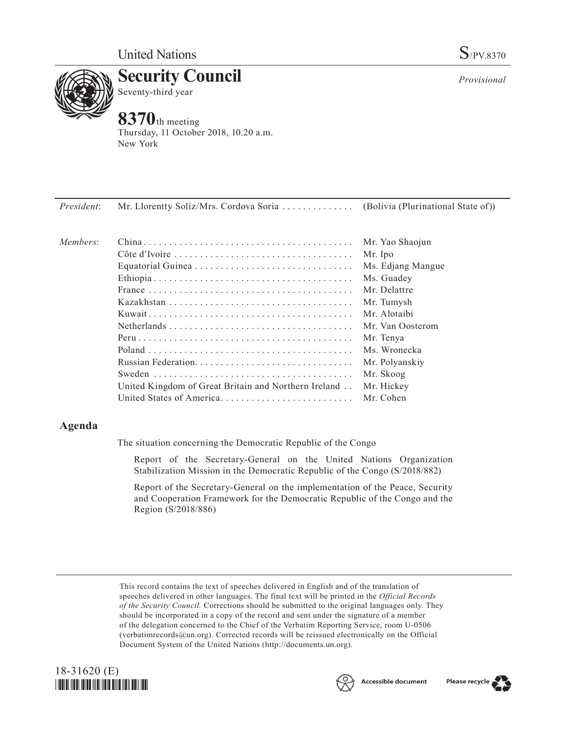

**Security Council** Seventy-third year

# **8370**th meeting

Thursday, 11 October 2018, 10.20 a.m. New York

| President: Mr. Llorentty Solíz/Mrs. Cordova Soria | (Bolivia (Plurinational State of)) |
|---------------------------------------------------|------------------------------------|
|                                                   |                                    |

| Members: |                                                      | Mr. Yao Shaojun   |
|----------|------------------------------------------------------|-------------------|
|          |                                                      | Mr. Ipo           |
|          |                                                      | Ms. Edjang Mangue |
|          |                                                      | Ms. Guadev        |
|          |                                                      | Mr Delattre       |
|          |                                                      | Mr. Tumysh        |
|          |                                                      | Mr. Alotaibi      |
|          |                                                      | Mr. Van Oosterom  |
|          |                                                      | Mr. Tenya         |
|          |                                                      | Ms. Wronecka      |
|          | Russian Federation                                   | Mr. Polyanskiy    |
|          |                                                      | Mr. Skoog         |
|          | United Kingdom of Great Britain and Northern Ireland | Mr. Hickey        |
|          | United States of America.                            | Mr. Cohen         |

## **Agenda**

The situation concerning the Democratic Republic of the Congo

Report of the Secretary-General on the United Nations Organization Stabilization Mission in the Democratic Republic of the Congo (S/2018/882)

Report of the Secretary-General on the implementation of the Peace, Security and Cooperation Framework for the Democratic Republic of the Congo and the Region (S/2018/886)

This record contains the text of speeches delivered in English and of the translation of speeches delivered in other languages. The final text will be printed in the *Official Records of the Security Council.* Corrections should be submitted to the original languages only. They should be incorporated in a copy of the record and sent under the signature of a member of the delegation concerned to the Chief of the Verbatim Reporting Service, room U-0506 (verbatimrecords $@un.org$ ). Corrected records will be reissued electronically on the Official Document System of the United Nations [\(http://documents.un.org\)](http://documents.un.org).



*Provisional*

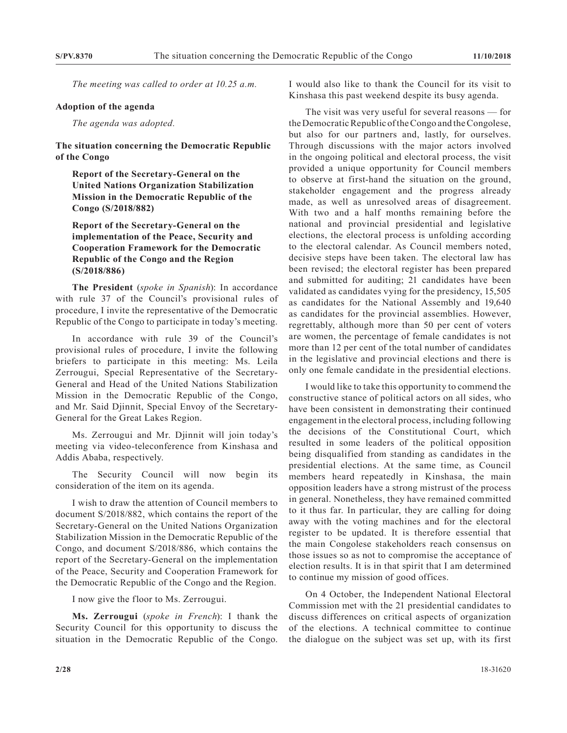*The meeting was called to order at 10.25 a.m.*

#### **Adoption of the agenda**

*The agenda was adopted.*

### **The situation concerning the Democratic Republic of the Congo**

**Report of the Secretary-General on the United Nations Organization Stabilization Mission in the Democratic Republic of the Congo (S/2018/882)**

**Report of the Secretary-General on the implementation of the Peace, Security and Cooperation Framework for the Democratic Republic of the Congo and the Region (S/2018/886)**

**The President** (*spoke in Spanish*): In accordance with rule 37 of the Council's provisional rules of procedure, I invite the representative of the Democratic Republic of the Congo to participate in today's meeting.

In accordance with rule 39 of the Council's provisional rules of procedure, I invite the following briefers to participate in this meeting: Ms. Leila Zerrougui, Special Representative of the Secretary-General and Head of the United Nations Stabilization Mission in the Democratic Republic of the Congo, and Mr. Said Djinnit, Special Envoy of the Secretary-General for the Great Lakes Region.

Ms. Zerrougui and Mr. Djinnit will join today's meeting via video-teleconference from Kinshasa and Addis Ababa, respectively.

The Security Council will now begin its consideration of the item on its agenda.

I wish to draw the attention of Council members to document S/2018/882, which contains the report of the Secretary-General on the United Nations Organization Stabilization Mission in the Democratic Republic of the Congo, and document S/2018/886, which contains the report of the Secretary-General on the implementation of the Peace, Security and Cooperation Framework for the Democratic Republic of the Congo and the Region.

I now give the floor to Ms. Zerrougui.

**Ms. Zerrougui** (*spoke in French*): I thank the Security Council for this opportunity to discuss the situation in the Democratic Republic of the Congo. I would also like to thank the Council for its visit to Kinshasa this past weekend despite its busy agenda.

The visit was very useful for several reasons — for the Democratic Republic of the Congo and the Congolese, but also for our partners and, lastly, for ourselves. Through discussions with the major actors involved in the ongoing political and electoral process, the visit provided a unique opportunity for Council members to observe at first-hand the situation on the ground, stakeholder engagement and the progress already made, as well as unresolved areas of disagreement. With two and a half months remaining before the national and provincial presidential and legislative elections, the electoral process is unfolding according to the electoral calendar. As Council members noted, decisive steps have been taken. The electoral law has been revised; the electoral register has been prepared and submitted for auditing; 21 candidates have been validated as candidates vying for the presidency, 15,505 as candidates for the National Assembly and 19,640 as candidates for the provincial assemblies. However, regrettably, although more than 50 per cent of voters are women, the percentage of female candidates is not more than 12 per cent of the total number of candidates in the legislative and provincial elections and there is only one female candidate in the presidential elections.

I would like to take this opportunity to commend the constructive stance of political actors on all sides, who have been consistent in demonstrating their continued engagement in the electoral process, including following the decisions of the Constitutional Court, which resulted in some leaders of the political opposition being disqualified from standing as candidates in the presidential elections. At the same time, as Council members heard repeatedly in Kinshasa, the main opposition leaders have a strong mistrust of the process in general. Nonetheless, they have remained committed to it thus far. In particular, they are calling for doing away with the voting machines and for the electoral register to be updated. It is therefore essential that the main Congolese stakeholders reach consensus on those issues so as not to compromise the acceptance of election results. It is in that spirit that I am determined to continue my mission of good offices.

On 4 October, the Independent National Electoral Commission met with the 21 presidential candidates to discuss differences on critical aspects of organization of the elections. A technical committee to continue the dialogue on the subject was set up, with its first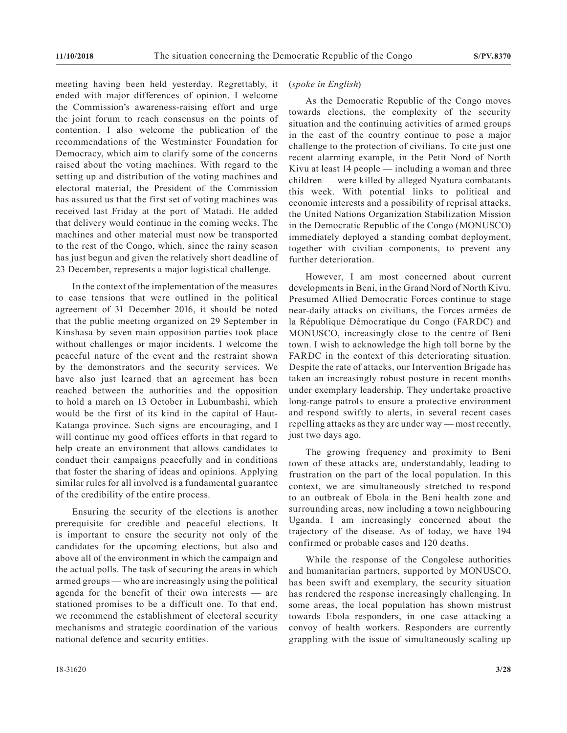meeting having been held yesterday. Regrettably, it ended with major differences of opinion. I welcome the Commission's awareness-raising effort and urge the joint forum to reach consensus on the points of contention. I also welcome the publication of the recommendations of the Westminster Foundation for Democracy, which aim to clarify some of the concerns raised about the voting machines. With regard to the setting up and distribution of the voting machines and electoral material, the President of the Commission has assured us that the first set of voting machines was received last Friday at the port of Matadi. He added that delivery would continue in the coming weeks. The machines and other material must now be transported to the rest of the Congo, which, since the rainy season has just begun and given the relatively short deadline of 23 December, represents a major logistical challenge.

In the context of the implementation of the measures to ease tensions that were outlined in the political agreement of 31 December 2016, it should be noted that the public meeting organized on 29 September in Kinshasa by seven main opposition parties took place without challenges or major incidents. I welcome the peaceful nature of the event and the restraint shown by the demonstrators and the security services. We have also just learned that an agreement has been reached between the authorities and the opposition to hold a march on 13 October in Lubumbashi, which would be the first of its kind in the capital of Haut-Katanga province. Such signs are encouraging, and I will continue my good offices efforts in that regard to help create an environment that allows candidates to conduct their campaigns peacefully and in conditions that foster the sharing of ideas and opinions. Applying similar rules for all involved is a fundamental guarantee of the credibility of the entire process.

Ensuring the security of the elections is another prerequisite for credible and peaceful elections. It is important to ensure the security not only of the candidates for the upcoming elections, but also and above all of the environment in which the campaign and the actual polls. The task of securing the areas in which armed groups — who are increasingly using the political agenda for the benefit of their own interests — are stationed promises to be a difficult one. To that end, we recommend the establishment of electoral security mechanisms and strategic coordination of the various national defence and security entities.

As the Democratic Republic of the Congo moves towards elections, the complexity of the security situation and the continuing activities of armed groups in the east of the country continue to pose a major challenge to the protection of civilians. To cite just one recent alarming example, in the Petit Nord of North Kivu at least 14 people — including a woman and three children — were killed by alleged Nyatura combatants this week. With potential links to political and economic interests and a possibility of reprisal attacks, the United Nations Organization Stabilization Mission in the Democratic Republic of the Congo (MONUSCO) immediately deployed a standing combat deployment, together with civilian components, to prevent any further deterioration.

However, I am most concerned about current developments in Beni, in the Grand Nord of North Kivu. Presumed Allied Democratic Forces continue to stage near-daily attacks on civilians, the Forces armées de la République Démocratique du Congo (FARDC) and MONUSCO, increasingly close to the centre of Beni town. I wish to acknowledge the high toll borne by the FARDC in the context of this deteriorating situation. Despite the rate of attacks, our Intervention Brigade has taken an increasingly robust posture in recent months under exemplary leadership. They undertake proactive long-range patrols to ensure a protective environment and respond swiftly to alerts, in several recent cases repelling attacks as they are under way — most recently, just two days ago.

The growing frequency and proximity to Beni town of these attacks are, understandably, leading to frustration on the part of the local population. In this context, we are simultaneously stretched to respond to an outbreak of Ebola in the Beni health zone and surrounding areas, now including a town neighbouring Uganda. I am increasingly concerned about the trajectory of the disease. As of today, we have 194 confirmed or probable cases and 120 deaths.

While the response of the Congolese authorities and humanitarian partners, supported by MONUSCO, has been swift and exemplary, the security situation has rendered the response increasingly challenging. In some areas, the local population has shown mistrust towards Ebola responders, in one case attacking a convoy of health workers. Responders are currently grappling with the issue of simultaneously scaling up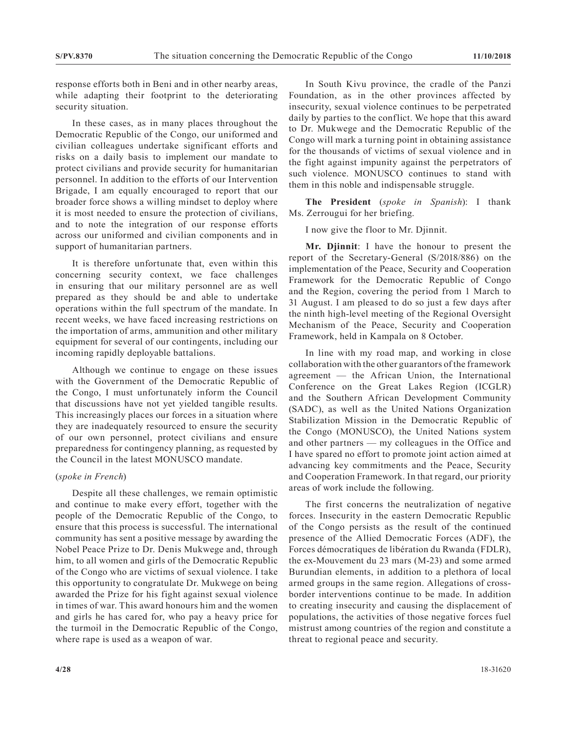response efforts both in Beni and in other nearby areas, while adapting their footprint to the deteriorating security situation.

In these cases, as in many places throughout the Democratic Republic of the Congo, our uniformed and civilian colleagues undertake significant efforts and risks on a daily basis to implement our mandate to protect civilians and provide security for humanitarian personnel. In addition to the efforts of our Intervention Brigade, I am equally encouraged to report that our broader force shows a willing mindset to deploy where it is most needed to ensure the protection of civilians, and to note the integration of our response efforts across our uniformed and civilian components and in support of humanitarian partners.

It is therefore unfortunate that, even within this concerning security context, we face challenges in ensuring that our military personnel are as well prepared as they should be and able to undertake operations within the full spectrum of the mandate. In recent weeks, we have faced increasing restrictions on the importation of arms, ammunition and other military equipment for several of our contingents, including our incoming rapidly deployable battalions.

Although we continue to engage on these issues with the Government of the Democratic Republic of the Congo, I must unfortunately inform the Council that discussions have not yet yielded tangible results. This increasingly places our forces in a situation where they are inadequately resourced to ensure the security of our own personnel, protect civilians and ensure preparedness for contingency planning, as requested by the Council in the latest MONUSCO mandate.

#### (*spoke in French*)

Despite all these challenges, we remain optimistic and continue to make every effort, together with the people of the Democratic Republic of the Congo, to ensure that this process is successful. The international community has sent a positive message by awarding the Nobel Peace Prize to Dr. Denis Mukwege and, through him, to all women and girls of the Democratic Republic of the Congo who are victims of sexual violence. I take this opportunity to congratulate Dr. Mukwege on being awarded the Prize for his fight against sexual violence in times of war. This award honours him and the women and girls he has cared for, who pay a heavy price for the turmoil in the Democratic Republic of the Congo, where rape is used as a weapon of war.

In South Kivu province, the cradle of the Panzi Foundation, as in the other provinces affected by insecurity, sexual violence continues to be perpetrated daily by parties to the conflict. We hope that this award to Dr. Mukwege and the Democratic Republic of the Congo will mark a turning point in obtaining assistance for the thousands of victims of sexual violence and in the fight against impunity against the perpetrators of such violence. MONUSCO continues to stand with them in this noble and indispensable struggle.

**The President** (*spoke in Spanish*): I thank Ms. Zerrougui for her briefing.

I now give the floor to Mr. Djinnit.

**Mr. Djinnit**: I have the honour to present the report of the Secretary-General (S/2018/886) on the implementation of the Peace, Security and Cooperation Framework for the Democratic Republic of Congo and the Region, covering the period from 1 March to 31 August. I am pleased to do so just a few days after the ninth high-level meeting of the Regional Oversight Mechanism of the Peace, Security and Cooperation Framework, held in Kampala on 8 October.

In line with my road map, and working in close collaboration with the other guarantors of the framework agreement — the African Union, the International Conference on the Great Lakes Region (ICGLR) and the Southern African Development Community (SADC), as well as the United Nations Organization Stabilization Mission in the Democratic Republic of the Congo (MONUSCO), the United Nations system and other partners — my colleagues in the Office and I have spared no effort to promote joint action aimed at advancing key commitments and the Peace, Security and Cooperation Framework. In that regard, our priority areas of work include the following.

The first concerns the neutralization of negative forces. Insecurity in the eastern Democratic Republic of the Congo persists as the result of the continued presence of the Allied Democratic Forces (ADF), the Forces démocratiques de libération du Rwanda (FDLR), the ex-Mouvement du 23 mars (M-23) and some armed Burundian elements, in addition to a plethora of local armed groups in the same region. Allegations of crossborder interventions continue to be made. In addition to creating insecurity and causing the displacement of populations, the activities of those negative forces fuel mistrust among countries of the region and constitute a threat to regional peace and security.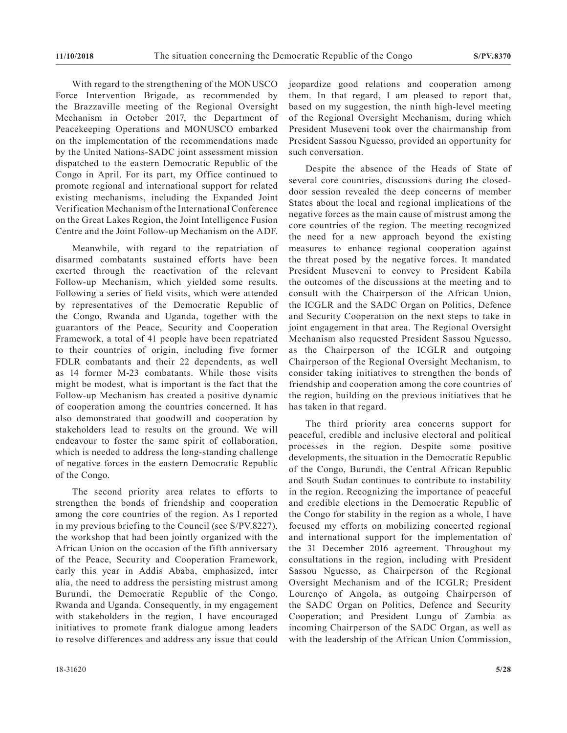With regard to the strengthening of the MONUSCO Force Intervention Brigade, as recommended by the Brazzaville meeting of the Regional Oversight Mechanism in October 2017, the Department of Peacekeeping Operations and MONUSCO embarked on the implementation of the recommendations made by the United Nations-SADC joint assessment mission dispatched to the eastern Democratic Republic of the Congo in April. For its part, my Office continued to promote regional and international support for related existing mechanisms, including the Expanded Joint Verification Mechanism of the International Conference on the Great Lakes Region, the Joint Intelligence Fusion Centre and the Joint Follow-up Mechanism on the ADF.

Meanwhile, with regard to the repatriation of disarmed combatants sustained efforts have been exerted through the reactivation of the relevant Follow-up Mechanism, which yielded some results. Following a series of field visits, which were attended by representatives of the Democratic Republic of the Congo, Rwanda and Uganda, together with the guarantors of the Peace, Security and Cooperation Framework, a total of 41 people have been repatriated to their countries of origin, including five former FDLR combatants and their 22 dependents, as well as 14 former M-23 combatants. While those visits might be modest, what is important is the fact that the Follow-up Mechanism has created a positive dynamic of cooperation among the countries concerned. It has also demonstrated that goodwill and cooperation by stakeholders lead to results on the ground. We will endeavour to foster the same spirit of collaboration, which is needed to address the long-standing challenge of negative forces in the eastern Democratic Republic of the Congo.

The second priority area relates to efforts to strengthen the bonds of friendship and cooperation among the core countries of the region. As I reported in my previous briefing to the Council (see S/PV.8227), the workshop that had been jointly organized with the African Union on the occasion of the fifth anniversary of the Peace, Security and Cooperation Framework, early this year in Addis Ababa, emphasized, inter alia, the need to address the persisting mistrust among Burundi, the Democratic Republic of the Congo, Rwanda and Uganda. Consequently, in my engagement with stakeholders in the region, I have encouraged initiatives to promote frank dialogue among leaders to resolve differences and address any issue that could

jeopardize good relations and cooperation among them. In that regard, I am pleased to report that, based on my suggestion, the ninth high-level meeting of the Regional Oversight Mechanism, during which President Museveni took over the chairmanship from President Sassou Nguesso, provided an opportunity for such conversation.

Despite the absence of the Heads of State of several core countries, discussions during the closeddoor session revealed the deep concerns of member States about the local and regional implications of the negative forces as the main cause of mistrust among the core countries of the region. The meeting recognized the need for a new approach beyond the existing measures to enhance regional cooperation against the threat posed by the negative forces. It mandated President Museveni to convey to President Kabila the outcomes of the discussions at the meeting and to consult with the Chairperson of the African Union, the ICGLR and the SADC Organ on Politics, Defence and Security Cooperation on the next steps to take in joint engagement in that area. The Regional Oversight Mechanism also requested President Sassou Nguesso, as the Chairperson of the ICGLR and outgoing Chairperson of the Regional Oversight Mechanism, to consider taking initiatives to strengthen the bonds of friendship and cooperation among the core countries of the region, building on the previous initiatives that he has taken in that regard.

The third priority area concerns support for peaceful, credible and inclusive electoral and political processes in the region. Despite some positive developments, the situation in the Democratic Republic of the Congo, Burundi, the Central African Republic and South Sudan continues to contribute to instability in the region. Recognizing the importance of peaceful and credible elections in the Democratic Republic of the Congo for stability in the region as a whole, I have focused my efforts on mobilizing concerted regional and international support for the implementation of the 31 December 2016 agreement. Throughout my consultations in the region, including with President Sassou Nguesso, as Chairperson of the Regional Oversight Mechanism and of the ICGLR; President Lourenço of Angola, as outgoing Chairperson of the SADC Organ on Politics, Defence and Security Cooperation; and President Lungu of Zambia as incoming Chairperson of the SADC Organ, as well as with the leadership of the African Union Commission,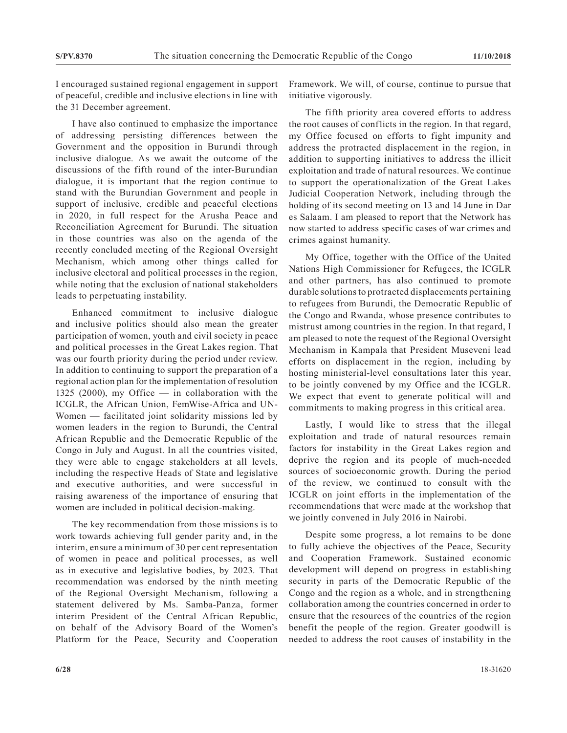I encouraged sustained regional engagement in support of peaceful, credible and inclusive elections in line with the 31 December agreement.

I have also continued to emphasize the importance of addressing persisting differences between the Government and the opposition in Burundi through inclusive dialogue. As we await the outcome of the discussions of the fifth round of the inter-Burundian dialogue, it is important that the region continue to stand with the Burundian Government and people in support of inclusive, credible and peaceful elections in 2020, in full respect for the Arusha Peace and Reconciliation Agreement for Burundi. The situation in those countries was also on the agenda of the recently concluded meeting of the Regional Oversight Mechanism, which among other things called for inclusive electoral and political processes in the region, while noting that the exclusion of national stakeholders leads to perpetuating instability.

Enhanced commitment to inclusive dialogue and inclusive politics should also mean the greater participation of women, youth and civil society in peace and political processes in the Great Lakes region. That was our fourth priority during the period under review. In addition to continuing to support the preparation of a regional action plan for the implementation of resolution 1325 (2000), my Office — in collaboration with the ICGLR, the African Union, FemWise-Africa and UN-Women — facilitated joint solidarity missions led by women leaders in the region to Burundi, the Central African Republic and the Democratic Republic of the Congo in July and August. In all the countries visited, they were able to engage stakeholders at all levels, including the respective Heads of State and legislative and executive authorities, and were successful in raising awareness of the importance of ensuring that women are included in political decision-making.

The key recommendation from those missions is to work towards achieving full gender parity and, in the interim, ensure a minimum of 30 per cent representation of women in peace and political processes, as well as in executive and legislative bodies, by 2023. That recommendation was endorsed by the ninth meeting of the Regional Oversight Mechanism, following a statement delivered by Ms. Samba-Panza, former interim President of the Central African Republic, on behalf of the Advisory Board of the Women's Platform for the Peace, Security and Cooperation Framework. We will, of course, continue to pursue that initiative vigorously.

The fifth priority area covered efforts to address the root causes of conflicts in the region. In that regard, my Office focused on efforts to fight impunity and address the protracted displacement in the region, in addition to supporting initiatives to address the illicit exploitation and trade of natural resources. We continue to support the operationalization of the Great Lakes Judicial Cooperation Network, including through the holding of its second meeting on 13 and 14 June in Dar es Salaam. I am pleased to report that the Network has now started to address specific cases of war crimes and crimes against humanity.

My Office, together with the Office of the United Nations High Commissioner for Refugees, the ICGLR and other partners, has also continued to promote durable solutions to protracted displacements pertaining to refugees from Burundi, the Democratic Republic of the Congo and Rwanda, whose presence contributes to mistrust among countries in the region. In that regard, I am pleased to note the request of the Regional Oversight Mechanism in Kampala that President Museveni lead efforts on displacement in the region, including by hosting ministerial-level consultations later this year, to be jointly convened by my Office and the ICGLR. We expect that event to generate political will and commitments to making progress in this critical area.

Lastly, I would like to stress that the illegal exploitation and trade of natural resources remain factors for instability in the Great Lakes region and deprive the region and its people of much-needed sources of socioeconomic growth. During the period of the review, we continued to consult with the ICGLR on joint efforts in the implementation of the recommendations that were made at the workshop that we jointly convened in July 2016 in Nairobi.

Despite some progress, a lot remains to be done to fully achieve the objectives of the Peace, Security and Cooperation Framework. Sustained economic development will depend on progress in establishing security in parts of the Democratic Republic of the Congo and the region as a whole, and in strengthening collaboration among the countries concerned in order to ensure that the resources of the countries of the region benefit the people of the region. Greater goodwill is needed to address the root causes of instability in the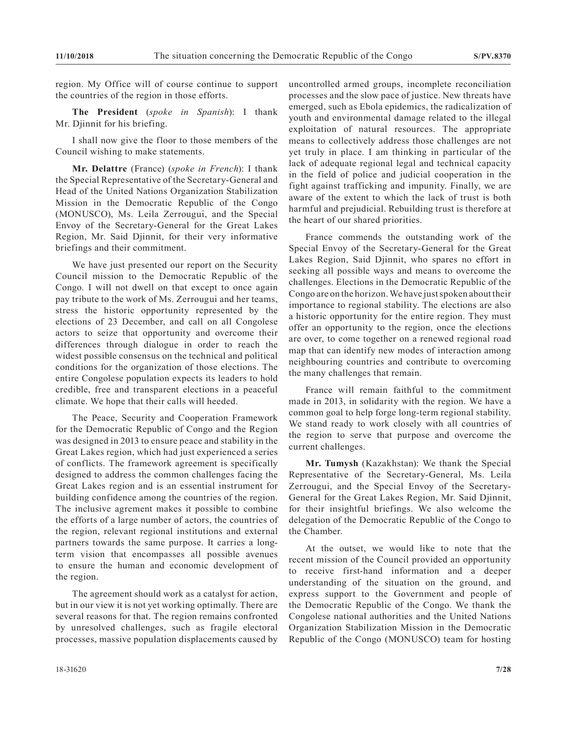region. My Office will of course continue to support the countries of the region in those efforts.

**The President** (*spoke in Spanish*): I thank Mr. Djinnit for his briefing.

I shall now give the floor to those members of the Council wishing to make statements.

**Mr. Delattre** (France) (*spoke in French*): I thank the Special Representative of the Secretary-General and Head of the United Nations Organization Stabilization Mission in the Democratic Republic of the Congo (MONUSCO), Ms. Leila Zerrougui, and the Special Envoy of the Secretary-General for the Great Lakes Region, Mr. Said Djinnit, for their very informative briefings and their commitment.

We have just presented our report on the Security Council mission to the Democratic Republic of the Congo. I will not dwell on that except to once again pay tribute to the work of Ms. Zerrougui and her teams, stress the historic opportunity represented by the elections of 23 December, and call on all Congolese actors to seize that opportunity and overcome their differences through dialogue in order to reach the widest possible consensus on the technical and political conditions for the organization of those elections. The entire Congolese population expects its leaders to hold credible, free and transparent elections in a peaceful climate. We hope that their calls will heeded.

The Peace, Security and Cooperation Framework for the Democratic Republic of Congo and the Region was designed in 2013 to ensure peace and stability in the Great Lakes region, which had just experienced a series of conflicts. The framework agreement is specifically designed to address the common challenges facing the Great Lakes region and is an essential instrument for building confidence among the countries of the region. The inclusive agrement makes it possible to combine the efforts of a large number of actors, the countries of the region, relevant regional institutions and external partners towards the same purpose. It carries a longterm vision that encompasses all possible avenues to ensure the human and economic development of the region.

The agreement should work as a catalyst for action, but in our view it is not yet working optimally. There are several reasons for that. The region remains confronted by unresolved challenges, such as fragile electoral processes, massive population displacements caused by uncontrolled armed groups, incomplete reconciliation processes and the slow pace of justice. New threats have emerged, such as Ebola epidemics, the radicalization of youth and environmental damage related to the illegal exploitation of natural resources. The appropriate means to collectively address those challenges are not yet truly in place. I am thinking in particular of the lack of adequate regional legal and technical capacity in the field of police and judicial cooperation in the fight against trafficking and impunity. Finally, we are aware of the extent to which the lack of trust is both harmful and prejudicial. Rebuilding trust is therefore at the heart of our shared priorities.

France commends the outstanding work of the Special Envoy of the Secretary-General for the Great Lakes Region, Said Djinnit, who spares no effort in seeking all possible ways and means to overcome the challenges. Elections in the Democratic Republic of the Congo are on the horizon. We have just spoken about their importance to regional stability. The elections are also a historic opportunity for the entire region. They must offer an opportunity to the region, once the elections are over, to come together on a renewed regional road map that can identify new modes of interaction among neighbouring countries and contribute to overcoming the many challenges that remain.

France will remain faithful to the commitment made in 2013, in solidarity with the region. We have a common goal to help forge long-term regional stability. We stand ready to work closely with all countries of the region to serve that purpose and overcome the current challenges.

**Mr. Tumysh** (Kazakhstan): We thank the Special Representative of the Secretary-General, Ms. Leila Zerrougui, and the Special Envoy of the Secretary-General for the Great Lakes Region, Mr. Said Djinnit, for their insightful briefings. We also welcome the delegation of the Democratic Republic of the Congo to the Chamber.

At the outset, we would like to note that the recent mission of the Council provided an opportunity to receive first-hand information and a deeper understanding of the situation on the ground, and express support to the Government and people of the Democratic Republic of the Congo. We thank the Congolese national authorities and the United Nations Organization Stabilization Mission in the Democratic Republic of the Congo (MONUSCO) team for hosting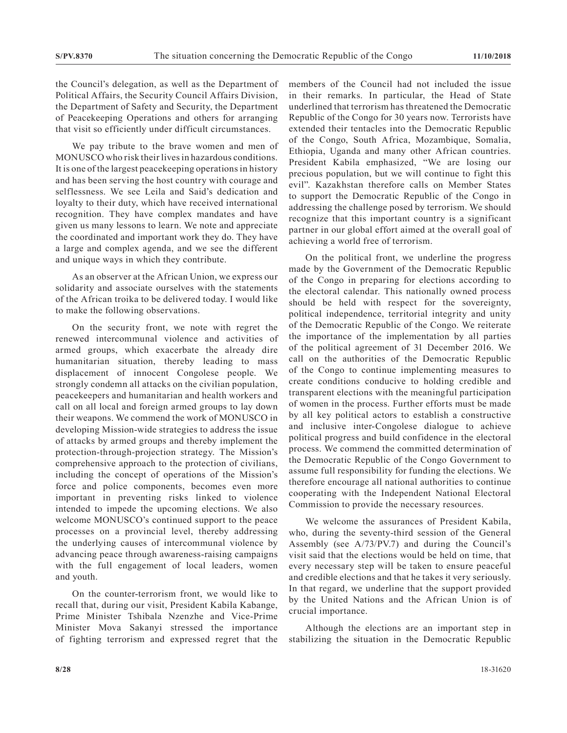the Council's delegation, as well as the Department of Political Affairs, the Security Council Affairs Division, the Department of Safety and Security, the Department of Peacekeeping Operations and others for arranging that visit so efficiently under difficult circumstances.

We pay tribute to the brave women and men of MONUSCO who risk their lives in hazardous conditions. It is one of the largest peacekeeping operations in history and has been serving the host country with courage and selflessness. We see Leila and Said's dedication and loyalty to their duty, which have received international recognition. They have complex mandates and have given us many lessons to learn. We note and appreciate the coordinated and important work they do. They have a large and complex agenda, and we see the different and unique ways in which they contribute.

As an observer at the African Union, we express our solidarity and associate ourselves with the statements of the African troika to be delivered today. I would like to make the following observations.

On the security front, we note with regret the renewed intercommunal violence and activities of armed groups, which exacerbate the already dire humanitarian situation, thereby leading to mass displacement of innocent Congolese people. We strongly condemn all attacks on the civilian population, peacekeepers and humanitarian and health workers and call on all local and foreign armed groups to lay down their weapons. We commend the work of MONUSCO in developing Mission-wide strategies to address the issue of attacks by armed groups and thereby implement the protection-through-projection strategy. The Mission's comprehensive approach to the protection of civilians, including the concept of operations of the Mission's force and police components, becomes even more important in preventing risks linked to violence intended to impede the upcoming elections. We also welcome MONUSCO's continued support to the peace processes on a provincial level, thereby addressing the underlying causes of intercommunal violence by advancing peace through awareness-raising campaigns with the full engagement of local leaders, women and youth.

On the counter-terrorism front, we would like to recall that, during our visit, President Kabila Kabange, Prime Minister Tshibala Nzenzhe and Vice-Prime Minister Mova Sakanyi stressed the importance of fighting terrorism and expressed regret that the members of the Council had not included the issue in their remarks. In particular, the Head of State underlined that terrorism has threatened the Democratic Republic of the Congo for 30 years now. Terrorists have extended their tentacles into the Democratic Republic of the Congo, South Africa, Mozambique, Somalia, Ethiopia, Uganda and many other African countries. President Kabila emphasized, "We are losing our precious population, but we will continue to fight this evil". Kazakhstan therefore calls on Member States to support the Democratic Republic of the Congo in addressing the challenge posed by terrorism. We should recognize that this important country is a significant partner in our global effort aimed at the overall goal of achieving a world free of terrorism.

On the political front, we underline the progress made by the Government of the Democratic Republic of the Congo in preparing for elections according to the electoral calendar. This nationally owned process should be held with respect for the sovereignty, political independence, territorial integrity and unity of the Democratic Republic of the Congo. We reiterate the importance of the implementation by all parties of the political agreement of 31 December 2016. We call on the authorities of the Democratic Republic of the Congo to continue implementing measures to create conditions conducive to holding credible and transparent elections with the meaningful participation of women in the process. Further efforts must be made by all key political actors to establish a constructive and inclusive inter-Congolese dialogue to achieve political progress and build confidence in the electoral process. We commend the committed determination of the Democratic Republic of the Congo Government to assume full responsibility for funding the elections. We therefore encourage all national authorities to continue cooperating with the Independent National Electoral Commission to provide the necessary resources.

We welcome the assurances of President Kabila, who, during the seventy-third session of the General Assembly (see A/73/PV.7) and during the Council's visit said that the elections would be held on time, that every necessary step will be taken to ensure peaceful and credible elections and that he takes it very seriously. In that regard, we underline that the support provided by the United Nations and the African Union is of crucial importance.

Although the elections are an important step in stabilizing the situation in the Democratic Republic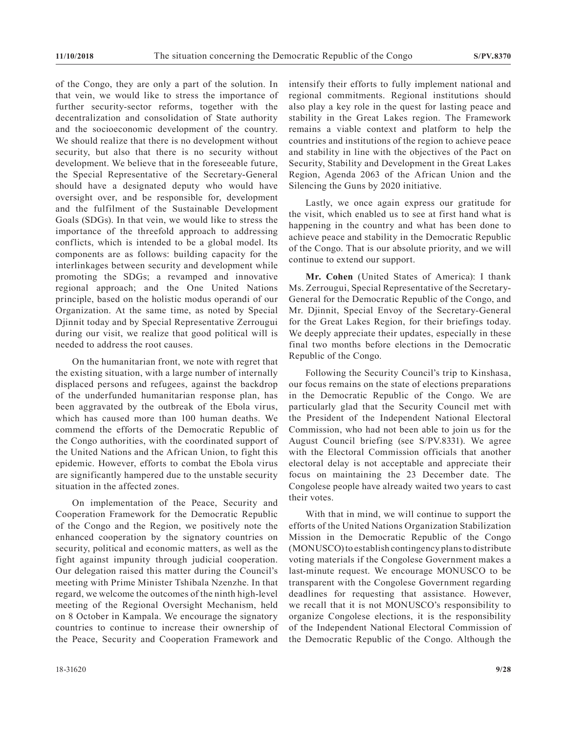of the Congo, they are only a part of the solution. In that vein, we would like to stress the importance of further security-sector reforms, together with the decentralization and consolidation of State authority and the socioeconomic development of the country. We should realize that there is no development without security, but also that there is no security without development. We believe that in the foreseeable future, the Special Representative of the Secretary-General should have a designated deputy who would have oversight over, and be responsible for, development and the fulfilment of the Sustainable Development Goals (SDGs). In that vein, we would like to stress the importance of the threefold approach to addressing conflicts, which is intended to be a global model. Its components are as follows: building capacity for the interlinkages between security and development while promoting the SDGs; a revamped and innovative regional approach; and the One United Nations principle, based on the holistic modus operandi of our Organization. At the same time, as noted by Special Djinnit today and by Special Representative Zerrougui during our visit, we realize that good political will is needed to address the root causes.

On the humanitarian front, we note with regret that the existing situation, with a large number of internally displaced persons and refugees, against the backdrop of the underfunded humanitarian response plan, has been aggravated by the outbreak of the Ebola virus, which has caused more than 100 human deaths. We commend the efforts of the Democratic Republic of the Congo authorities, with the coordinated support of the United Nations and the African Union, to fight this epidemic. However, efforts to combat the Ebola virus are significantly hampered due to the unstable security situation in the affected zones.

On implementation of the Peace, Security and Cooperation Framework for the Democratic Republic of the Congo and the Region, we positively note the enhanced cooperation by the signatory countries on security, political and economic matters, as well as the fight against impunity through judicial cooperation. Our delegation raised this matter during the Council's meeting with Prime Minister Tshibala Nzenzhe. In that regard, we welcome the outcomes of the ninth high-level meeting of the Regional Oversight Mechanism, held on 8 October in Kampala. We encourage the signatory countries to continue to increase their ownership of the Peace, Security and Cooperation Framework and

intensify their efforts to fully implement national and regional commitments. Regional institutions should also play a key role in the quest for lasting peace and stability in the Great Lakes region. The Framework remains a viable context and platform to help the countries and institutions of the region to achieve peace and stability in line with the objectives of the Pact on Security, Stability and Development in the Great Lakes Region, Agenda 2063 of the African Union and the Silencing the Guns by 2020 initiative.

Lastly, we once again express our gratitude for the visit, which enabled us to see at first hand what is happening in the country and what has been done to achieve peace and stability in the Democratic Republic of the Congo. That is our absolute priority, and we will continue to extend our support.

**Mr. Cohen** (United States of America): I thank Ms. Zerrougui, Special Representative of the Secretary-General for the Democratic Republic of the Congo, and Mr. Djinnit, Special Envoy of the Secretary-General for the Great Lakes Region, for their briefings today. We deeply appreciate their updates, especially in these final two months before elections in the Democratic Republic of the Congo.

Following the Security Council's trip to Kinshasa, our focus remains on the state of elections preparations in the Democratic Republic of the Congo. We are particularly glad that the Security Council met with the President of the Independent National Electoral Commission, who had not been able to join us for the August Council briefing (see S/PV.8331). We agree with the Electoral Commission officials that another electoral delay is not acceptable and appreciate their focus on maintaining the 23 December date. The Congolese people have already waited two years to cast their votes.

With that in mind, we will continue to support the efforts of the United Nations Organization Stabilization Mission in the Democratic Republic of the Congo (MONUSCO) to establish contingency plans to distribute voting materials if the Congolese Government makes a last-minute request. We encourage MONUSCO to be transparent with the Congolese Government regarding deadlines for requesting that assistance. However, we recall that it is not MONUSCO's responsibility to organize Congolese elections, it is the responsibility of the Independent National Electoral Commission of the Democratic Republic of the Congo. Although the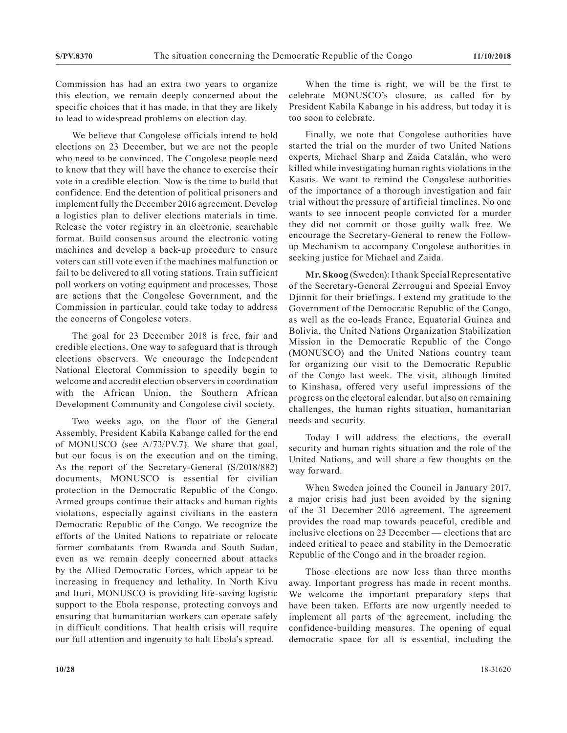Commission has had an extra two years to organize this election, we remain deeply concerned about the specific choices that it has made, in that they are likely to lead to widespread problems on election day.

We believe that Congolese officials intend to hold elections on 23 December, but we are not the people who need to be convinced. The Congolese people need to know that they will have the chance to exercise their vote in a credible election. Now is the time to build that confidence. End the detention of political prisoners and implement fully the December 2016 agreement. Develop a logistics plan to deliver elections materials in time. Release the voter registry in an electronic, searchable format. Build consensus around the electronic voting machines and develop a back-up procedure to ensure voters can still vote even if the machines malfunction or fail to be delivered to all voting stations. Train sufficient poll workers on voting equipment and processes. Those are actions that the Congolese Government, and the Commission in particular, could take today to address the concerns of Congolese voters.

The goal for 23 December 2018 is free, fair and credible elections. One way to safeguard that is through elections observers. We encourage the Independent National Electoral Commission to speedily begin to welcome and accredit election observers in coordination with the African Union, the Southern African Development Community and Congolese civil society.

Two weeks ago, on the floor of the General Assembly, President Kabila Kabange called for the end of MONUSCO (see A/73/PV.7). We share that goal, but our focus is on the execution and on the timing. As the report of the Secretary-General (S/2018/882) documents, MONUSCO is essential for civilian protection in the Democratic Republic of the Congo. Armed groups continue their attacks and human rights violations, especially against civilians in the eastern Democratic Republic of the Congo. We recognize the efforts of the United Nations to repatriate or relocate former combatants from Rwanda and South Sudan, even as we remain deeply concerned about attacks by the Allied Democratic Forces, which appear to be increasing in frequency and lethality. In North Kivu and Ituri, MONUSCO is providing life-saving logistic support to the Ebola response, protecting convoys and ensuring that humanitarian workers can operate safely in difficult conditions. That health crisis will require our full attention and ingenuity to halt Ebola's spread.

When the time is right, we will be the first to celebrate MONUSCO's closure, as called for by President Kabila Kabange in his address, but today it is too soon to celebrate.

Finally, we note that Congolese authorities have started the trial on the murder of two United Nations experts, Michael Sharp and Zaida Catalán, who were killed while investigating human rights violations in the Kasais. We want to remind the Congolese authorities of the importance of a thorough investigation and fair trial without the pressure of artificial timelines. No one wants to see innocent people convicted for a murder they did not commit or those guilty walk free. We encourage the Secretary-General to renew the Followup Mechanism to accompany Congolese authorities in seeking justice for Michael and Zaida.

**Mr. Skoog** (Sweden): I thank Special Representative of the Secretary-General Zerrougui and Special Envoy Djinnit for their briefings. I extend my gratitude to the Government of the Democratic Republic of the Congo, as well as the co-leads France, Equatorial Guinea and Bolivia, the United Nations Organization Stabilization Mission in the Democratic Republic of the Congo (MONUSCO) and the United Nations country team for organizing our visit to the Democratic Republic of the Congo last week. The visit, although limited to Kinshasa, offered very useful impressions of the progress on the electoral calendar, but also on remaining challenges, the human rights situation, humanitarian needs and security.

Today I will address the elections, the overall security and human rights situation and the role of the United Nations, and will share a few thoughts on the way forward.

When Sweden joined the Council in January 2017, a major crisis had just been avoided by the signing of the 31 December 2016 agreement. The agreement provides the road map towards peaceful, credible and inclusive elections on 23 December — elections that are indeed critical to peace and stability in the Democratic Republic of the Congo and in the broader region.

Those elections are now less than three months away. Important progress has made in recent months. We welcome the important preparatory steps that have been taken. Efforts are now urgently needed to implement all parts of the agreement, including the confidence-building measures. The opening of equal democratic space for all is essential, including the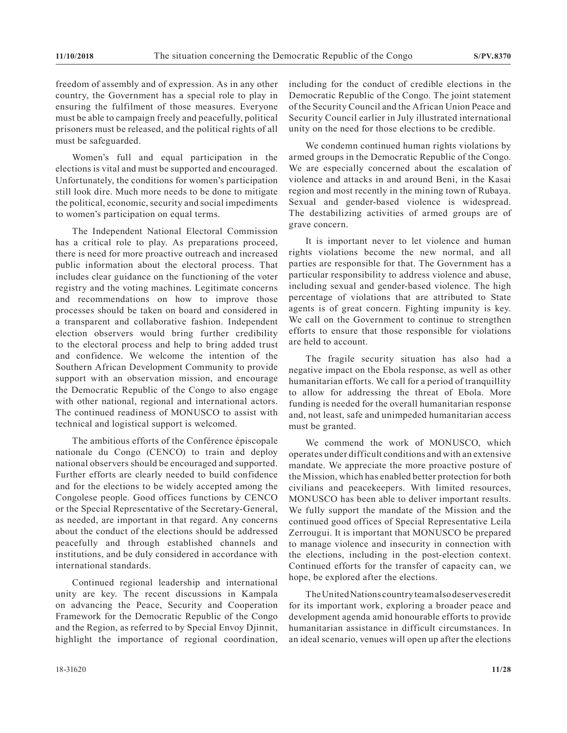freedom of assembly and of expression. As in any other country, the Government has a special role to play in ensuring the fulfilment of those measures. Everyone must be able to campaign freely and peacefully, political prisoners must be released, and the political rights of all must be safeguarded.

Women's full and equal participation in the elections is vital and must be supported and encouraged. Unfortunately, the conditions for women's participation still look dire. Much more needs to be done to mitigate the political, economic, security and social impediments to women's participation on equal terms.

The Independent National Electoral Commission has a critical role to play. As preparations proceed, there is need for more proactive outreach and increased public information about the electoral process. That includes clear guidance on the functioning of the voter registry and the voting machines. Legitimate concerns and recommendations on how to improve those processes should be taken on board and considered in a transparent and collaborative fashion. Independent election observers would bring further credibility to the electoral process and help to bring added trust and confidence. We welcome the intention of the Southern African Development Community to provide support with an observation mission, and encourage the Democratic Republic of the Congo to also engage with other national, regional and international actors. The continued readiness of MONUSCO to assist with technical and logistical support is welcomed.

The ambitious efforts of the Conférence épiscopale nationale du Congo (CENCO) to train and deploy national observers should be encouraged and supported. Further efforts are clearly needed to build confidence and for the elections to be widely accepted among the Congolese people. Good offices functions by CENCO or the Special Representative of the Secretary-General, as needed, are important in that regard. Any concerns about the conduct of the elections should be addressed peacefully and through established channels and institutions, and be duly considered in accordance with international standards.

Continued regional leadership and international unity are key. The recent discussions in Kampala on advancing the Peace, Security and Cooperation Framework for the Democratic Republic of the Congo and the Region, as referred to by Special Envoy Djinnit, highlight the importance of regional coordination, including for the conduct of credible elections in the Democratic Republic of the Congo. The joint statement of the Security Council and the African Union Peace and Security Council earlier in July illustrated international unity on the need for those elections to be credible.

We condemn continued human rights violations by armed groups in the Democratic Republic of the Congo. We are especially concerned about the escalation of violence and attacks in and around Beni, in the Kasai region and most recently in the mining town of Rubaya. Sexual and gender-based violence is widespread. The destabilizing activities of armed groups are of grave concern.

It is important never to let violence and human rights violations become the new normal, and all parties are responsible for that. The Government has a particular responsibility to address violence and abuse, including sexual and gender-based violence. The high percentage of violations that are attributed to State agents is of great concern. Fighting impunity is key. We call on the Government to continue to strengthen efforts to ensure that those responsible for violations are held to account.

The fragile security situation has also had a negative impact on the Ebola response, as well as other humanitarian efforts. We call for a period of tranquillity to allow for addressing the threat of Ebola. More funding is needed for the overall humanitarian response and, not least, safe and unimpeded humanitarian access must be granted.

We commend the work of MONUSCO, which operates under difficult conditions and with an extensive mandate. We appreciate the more proactive posture of the Mission, which has enabled better protection for both civilians and peacekeepers. With limited resources, MONUSCO has been able to deliver important results. We fully support the mandate of the Mission and the continued good offices of Special Representative Leila Zerrougui. It is important that MONUSCO be prepared to manage violence and insecurity in connection with the elections, including in the post-election context. Continued efforts for the transfer of capacity can, we hope, be explored after the elections.

The United Nations country team also deserves credit for its important work, exploring a broader peace and development agenda amid honourable efforts to provide humanitarian assistance in difficult circumstances. In an ideal scenario, venues will open up after the elections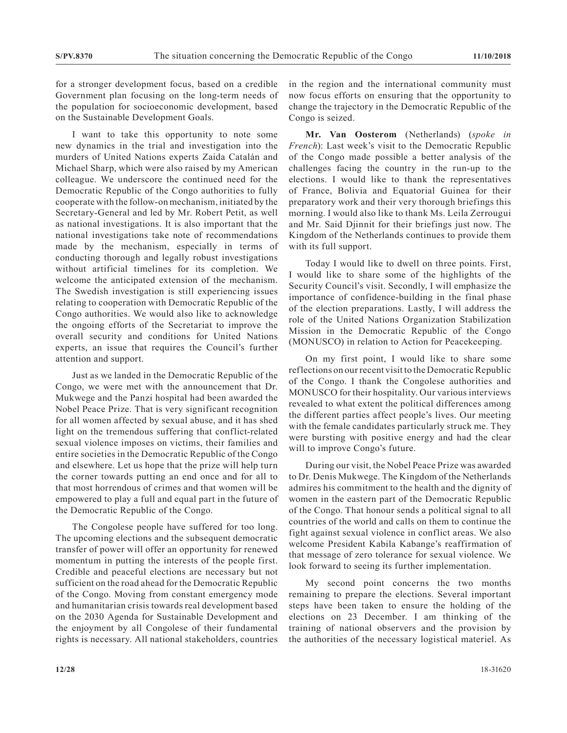for a stronger development focus, based on a credible Government plan focusing on the long-term needs of the population for socioeconomic development, based on the Sustainable Development Goals.

I want to take this opportunity to note some new dynamics in the trial and investigation into the murders of United Nations experts Zaida Catalán and Michael Sharp, which were also raised by my American colleague. We underscore the continued need for the Democratic Republic of the Congo authorities to fully cooperate with the follow-on mechanism, initiated by the Secretary-General and led by Mr. Robert Petit, as well as national investigations. It is also important that the national investigations take note of recommendations made by the mechanism, especially in terms of conducting thorough and legally robust investigations without artificial timelines for its completion. We welcome the anticipated extension of the mechanism. The Swedish investigation is still experiencing issues relating to cooperation with Democratic Republic of the Congo authorities. We would also like to acknowledge the ongoing efforts of the Secretariat to improve the overall security and conditions for United Nations experts, an issue that requires the Council's further attention and support.

Just as we landed in the Democratic Republic of the Congo, we were met with the announcement that Dr. Mukwege and the Panzi hospital had been awarded the Nobel Peace Prize. That is very significant recognition for all women affected by sexual abuse, and it has shed light on the tremendous suffering that conflict-related sexual violence imposes on victims, their families and entire societies in the Democratic Republic of the Congo and elsewhere. Let us hope that the prize will help turn the corner towards putting an end once and for all to that most horrendous of crimes and that women will be empowered to play a full and equal part in the future of the Democratic Republic of the Congo.

The Congolese people have suffered for too long. The upcoming elections and the subsequent democratic transfer of power will offer an opportunity for renewed momentum in putting the interests of the people first. Credible and peaceful elections are necessary but not sufficient on the road ahead for the Democratic Republic of the Congo. Moving from constant emergency mode and humanitarian crisis towards real development based on the 2030 Agenda for Sustainable Development and the enjoyment by all Congolese of their fundamental rights is necessary. All national stakeholders, countries in the region and the international community must now focus efforts on ensuring that the opportunity to change the trajectory in the Democratic Republic of the Congo is seized.

**Mr. Van Oosterom** (Netherlands) (*spoke in French*): Last week's visit to the Democratic Republic of the Congo made possible a better analysis of the challenges facing the country in the run-up to the elections. I would like to thank the representatives of France, Bolivia and Equatorial Guinea for their preparatory work and their very thorough briefings this morning. I would also like to thank Ms. Leila Zerrougui and Mr. Said Djinnit for their briefings just now. The Kingdom of the Netherlands continues to provide them with its full support.

Today I would like to dwell on three points. First, I would like to share some of the highlights of the Security Council's visit. Secondly, I will emphasize the importance of confidence-building in the final phase of the election preparations. Lastly, I will address the role of the United Nations Organization Stabilization Mission in the Democratic Republic of the Congo (MONUSCO) in relation to Action for Peacekeeping.

On my first point, I would like to share some reflections on our recent visit to the Democratic Republic of the Congo. I thank the Congolese authorities and MONUSCO for their hospitality. Our various interviews revealed to what extent the political differences among the different parties affect people's lives. Our meeting with the female candidates particularly struck me. They were bursting with positive energy and had the clear will to improve Congo's future.

During our visit, the Nobel Peace Prize was awarded to Dr. Denis Mukwege. The Kingdom of the Netherlands admires his commitment to the health and the dignity of women in the eastern part of the Democratic Republic of the Congo. That honour sends a political signal to all countries of the world and calls on them to continue the fight against sexual violence in conflict areas. We also welcome President Kabila Kabange's reaffirmation of that message of zero tolerance for sexual violence. We look forward to seeing its further implementation.

My second point concerns the two months remaining to prepare the elections. Several important steps have been taken to ensure the holding of the elections on 23 December. I am thinking of the training of national observers and the provision by the authorities of the necessary logistical materiel. As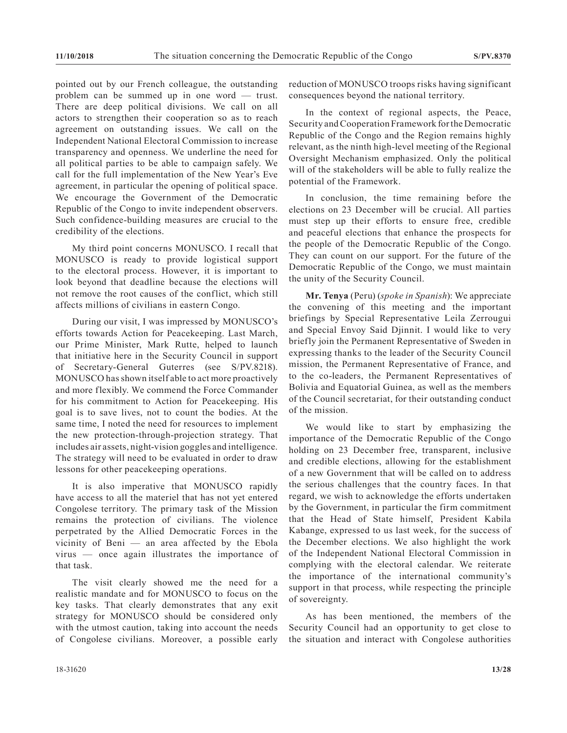pointed out by our French colleague, the outstanding problem can be summed up in one word — trust. There are deep political divisions. We call on all actors to strengthen their cooperation so as to reach agreement on outstanding issues. We call on the Independent National Electoral Commission to increase transparency and openness. We underline the need for all political parties to be able to campaign safely. We call for the full implementation of the New Year's Eve agreement, in particular the opening of political space. We encourage the Government of the Democratic Republic of the Congo to invite independent observers. Such confidence-building measures are crucial to the credibility of the elections.

My third point concerns MONUSCO. I recall that MONUSCO is ready to provide logistical support to the electoral process. However, it is important to look beyond that deadline because the elections will not remove the root causes of the conflict, which still affects millions of civilians in eastern Congo.

During our visit, I was impressed by MONUSCO's efforts towards Action for Peacekeeping. Last March, our Prime Minister, Mark Rutte, helped to launch that initiative here in the Security Council in support of Secretary-General Guterres (see S/PV.8218). MONUSCO has shown itself able to act more proactively and more flexibly. We commend the Force Commander for his commitment to Action for Peacekeeping. His goal is to save lives, not to count the bodies. At the same time, I noted the need for resources to implement the new protection-through-projection strategy. That includes air assets, night-vision goggles and intelligence. The strategy will need to be evaluated in order to draw lessons for other peacekeeping operations.

It is also imperative that MONUSCO rapidly have access to all the materiel that has not yet entered Congolese territory. The primary task of the Mission remains the protection of civilians. The violence perpetrated by the Allied Democratic Forces in the vicinity of Beni — an area affected by the Ebola virus — once again illustrates the importance of that task.

The visit clearly showed me the need for a realistic mandate and for MONUSCO to focus on the key tasks. That clearly demonstrates that any exit strategy for MONUSCO should be considered only with the utmost caution, taking into account the needs of Congolese civilians. Moreover, a possible early

reduction of MONUSCO troops risks having significant consequences beyond the national territory.

In the context of regional aspects, the Peace, Security and Cooperation Framework for the Democratic Republic of the Congo and the Region remains highly relevant, as the ninth high-level meeting of the Regional Oversight Mechanism emphasized. Only the political will of the stakeholders will be able to fully realize the potential of the Framework.

In conclusion, the time remaining before the elections on 23 December will be crucial. All parties must step up their efforts to ensure free, credible and peaceful elections that enhance the prospects for the people of the Democratic Republic of the Congo. They can count on our support. For the future of the Democratic Republic of the Congo, we must maintain the unity of the Security Council.

**Mr. Tenya** (Peru) (*spoke in Spanish*): We appreciate the convening of this meeting and the important briefings by Special Representative Leila Zerrougui and Special Envoy Said Djinnit. I would like to very briefly join the Permanent Representative of Sweden in expressing thanks to the leader of the Security Council mission, the Permanent Representative of France, and to the co-leaders, the Permanent Representatives of Bolivia and Equatorial Guinea, as well as the members of the Council secretariat, for their outstanding conduct of the mission.

We would like to start by emphasizing the importance of the Democratic Republic of the Congo holding on 23 December free, transparent, inclusive and credible elections, allowing for the establishment of a new Government that will be called on to address the serious challenges that the country faces. In that regard, we wish to acknowledge the efforts undertaken by the Government, in particular the firm commitment that the Head of State himself, President Kabila Kabange, expressed to us last week, for the success of the December elections. We also highlight the work of the Independent National Electoral Commission in complying with the electoral calendar. We reiterate the importance of the international community's support in that process, while respecting the principle of sovereignty.

As has been mentioned, the members of the Security Council had an opportunity to get close to the situation and interact with Congolese authorities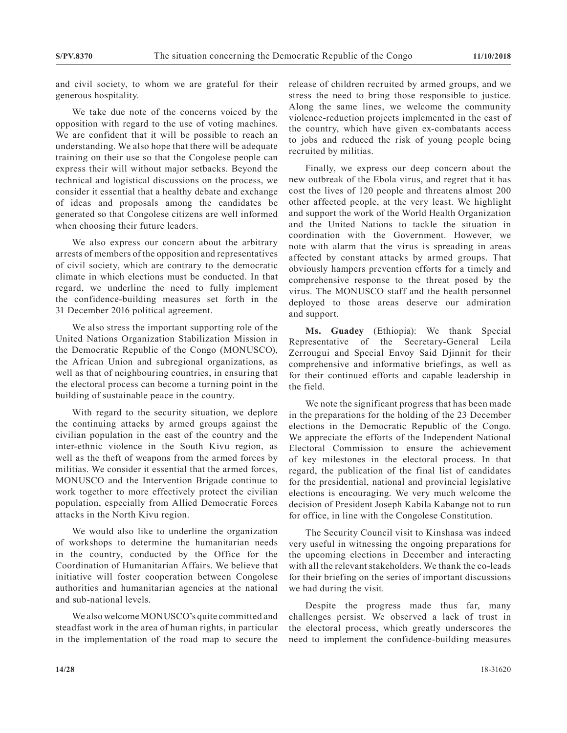and civil society, to whom we are grateful for their generous hospitality.

We take due note of the concerns voiced by the opposition with regard to the use of voting machines. We are confident that it will be possible to reach an understanding. We also hope that there will be adequate training on their use so that the Congolese people can express their will without major setbacks. Beyond the technical and logistical discussions on the process, we consider it essential that a healthy debate and exchange of ideas and proposals among the candidates be generated so that Congolese citizens are well informed when choosing their future leaders.

We also express our concern about the arbitrary arrests of members of the opposition and representatives of civil society, which are contrary to the democratic climate in which elections must be conducted. In that regard, we underline the need to fully implement the confidence-building measures set forth in the 31 December 2016 political agreement.

We also stress the important supporting role of the United Nations Organization Stabilization Mission in the Democratic Republic of the Congo (MONUSCO), the African Union and subregional organizations, as well as that of neighbouring countries, in ensuring that the electoral process can become a turning point in the building of sustainable peace in the country.

With regard to the security situation, we deplore the continuing attacks by armed groups against the civilian population in the east of the country and the inter-ethnic violence in the South Kivu region, as well as the theft of weapons from the armed forces by militias. We consider it essential that the armed forces, MONUSCO and the Intervention Brigade continue to work together to more effectively protect the civilian population, especially from Allied Democratic Forces attacks in the North Kivu region.

We would also like to underline the organization of workshops to determine the humanitarian needs in the country, conducted by the Office for the Coordination of Humanitarian Affairs. We believe that initiative will foster cooperation between Congolese authorities and humanitarian agencies at the national and sub-national levels.

We also welcome MONUSCO's quite committed and steadfast work in the area of human rights, in particular in the implementation of the road map to secure the release of children recruited by armed groups, and we stress the need to bring those responsible to justice. Along the same lines, we welcome the community violence-reduction projects implemented in the east of the country, which have given ex-combatants access to jobs and reduced the risk of young people being recruited by militias.

Finally, we express our deep concern about the new outbreak of the Ebola virus, and regret that it has cost the lives of 120 people and threatens almost 200 other affected people, at the very least. We highlight and support the work of the World Health Organization and the United Nations to tackle the situation in coordination with the Government. However, we note with alarm that the virus is spreading in areas affected by constant attacks by armed groups. That obviously hampers prevention efforts for a timely and comprehensive response to the threat posed by the virus. The MONUSCO staff and the health personnel deployed to those areas deserve our admiration and support.

**Ms. Guadey** (Ethiopia): We thank Special Representative of the Secretary-General Leila Zerrougui and Special Envoy Said Djinnit for their comprehensive and informative briefings, as well as for their continued efforts and capable leadership in the field.

We note the significant progress that has been made in the preparations for the holding of the 23 December elections in the Democratic Republic of the Congo. We appreciate the efforts of the Independent National Electoral Commission to ensure the achievement of key milestones in the electoral process. In that regard, the publication of the final list of candidates for the presidential, national and provincial legislative elections is encouraging. We very much welcome the decision of President Joseph Kabila Kabange not to run for office, in line with the Congolese Constitution.

The Security Council visit to Kinshasa was indeed very useful in witnessing the ongoing preparations for the upcoming elections in December and interacting with all the relevant stakeholders. We thank the co-leads for their briefing on the series of important discussions we had during the visit.

Despite the progress made thus far, many challenges persist. We observed a lack of trust in the electoral process, which greatly underscores the need to implement the confidence-building measures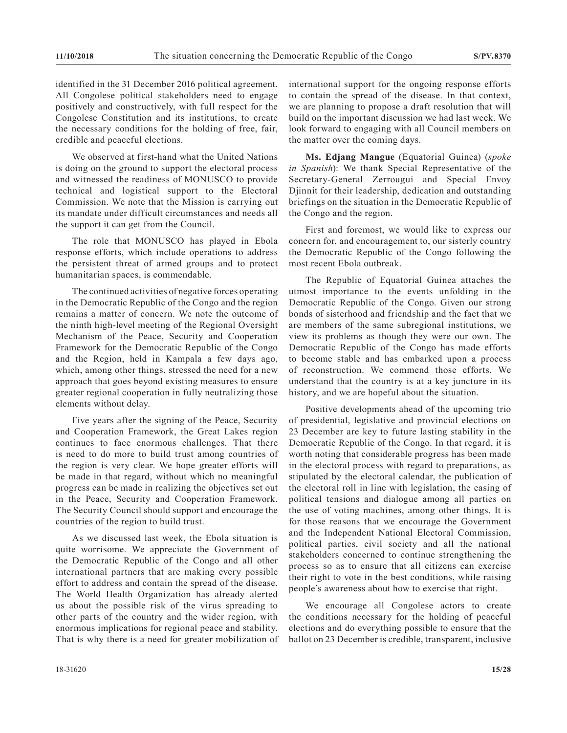identified in the 31 December 2016 political agreement. All Congolese political stakeholders need to engage positively and constructively, with full respect for the Congolese Constitution and its institutions, to create the necessary conditions for the holding of free, fair, credible and peaceful elections.

We observed at first-hand what the United Nations is doing on the ground to support the electoral process and witnessed the readiness of MONUSCO to provide technical and logistical support to the Electoral Commission. We note that the Mission is carrying out its mandate under difficult circumstances and needs all the support it can get from the Council.

The role that MONUSCO has played in Ebola response efforts, which include operations to address the persistent threat of armed groups and to protect humanitarian spaces, is commendable.

The continued activities of negative forces operating in the Democratic Republic of the Congo and the region remains a matter of concern. We note the outcome of the ninth high-level meeting of the Regional Oversight Mechanism of the Peace, Security and Cooperation Framework for the Democratic Republic of the Congo and the Region, held in Kampala a few days ago, which, among other things, stressed the need for a new approach that goes beyond existing measures to ensure greater regional cooperation in fully neutralizing those elements without delay.

Five years after the signing of the Peace, Security and Cooperation Framework, the Great Lakes region continues to face enormous challenges. That there is need to do more to build trust among countries of the region is very clear. We hope greater efforts will be made in that regard, without which no meaningful progress can be made in realizing the objectives set out in the Peace, Security and Cooperation Framework. The Security Council should support and encourage the countries of the region to build trust.

As we discussed last week, the Ebola situation is quite worrisome. We appreciate the Government of the Democratic Republic of the Congo and all other international partners that are making every possible effort to address and contain the spread of the disease. The World Health Organization has already alerted us about the possible risk of the virus spreading to other parts of the country and the wider region, with enormous implications for regional peace and stability. That is why there is a need for greater mobilization of international support for the ongoing response efforts to contain the spread of the disease. In that context, we are planning to propose a draft resolution that will build on the important discussion we had last week. We look forward to engaging with all Council members on the matter over the coming days.

**Ms. Edjang Mangue** (Equatorial Guinea) (*spoke in Spanish*): We thank Special Representative of the Secretary-General Zerrougui and Special Envoy Djinnit for their leadership, dedication and outstanding briefings on the situation in the Democratic Republic of the Congo and the region.

First and foremost, we would like to express our concern for, and encouragement to, our sisterly country the Democratic Republic of the Congo following the most recent Ebola outbreak.

The Republic of Equatorial Guinea attaches the utmost importance to the events unfolding in the Democratic Republic of the Congo. Given our strong bonds of sisterhood and friendship and the fact that we are members of the same subregional institutions, we view its problems as though they were our own. The Democratic Republic of the Congo has made efforts to become stable and has embarked upon a process of reconstruction. We commend those efforts. We understand that the country is at a key juncture in its history, and we are hopeful about the situation.

Positive developments ahead of the upcoming trio of presidential, legislative and provincial elections on 23 December are key to future lasting stability in the Democratic Republic of the Congo. In that regard, it is worth noting that considerable progress has been made in the electoral process with regard to preparations, as stipulated by the electoral calendar, the publication of the electoral roll in line with legislation, the easing of political tensions and dialogue among all parties on the use of voting machines, among other things. It is for those reasons that we encourage the Government and the Independent National Electoral Commission, political parties, civil society and all the national stakeholders concerned to continue strengthening the process so as to ensure that all citizens can exercise their right to vote in the best conditions, while raising people's awareness about how to exercise that right.

We encourage all Congolese actors to create the conditions necessary for the holding of peaceful elections and do everything possible to ensure that the ballot on 23 December is credible, transparent, inclusive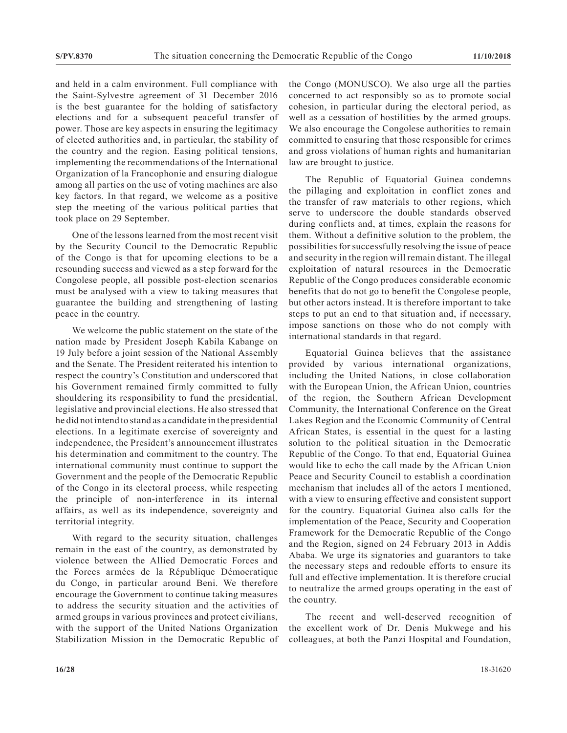and held in a calm environment. Full compliance with the Saint-Sylvestre agreement of 31 December 2016 is the best guarantee for the holding of satisfactory elections and for a subsequent peaceful transfer of power. Those are key aspects in ensuring the legitimacy of elected authorities and, in particular, the stability of the country and the region. Easing political tensions, implementing the recommendations of the International Organization of la Francophonie and ensuring dialogue among all parties on the use of voting machines are also key factors. In that regard, we welcome as a positive step the meeting of the various political parties that took place on 29 September.

One of the lessons learned from the most recent visit by the Security Council to the Democratic Republic of the Congo is that for upcoming elections to be a resounding success and viewed as a step forward for the Congolese people, all possible post-election scenarios must be analysed with a view to taking measures that guarantee the building and strengthening of lasting peace in the country.

We welcome the public statement on the state of the nation made by President Joseph Kabila Kabange on 19 July before a joint session of the National Assembly and the Senate. The President reiterated his intention to respect the country's Constitution and underscored that his Government remained firmly committed to fully shouldering its responsibility to fund the presidential, legislative and provincial elections. He also stressed that he did not intend to stand as a candidate in the presidential elections. In a legitimate exercise of sovereignty and independence, the President's announcement illustrates his determination and commitment to the country. The international community must continue to support the Government and the people of the Democratic Republic of the Congo in its electoral process, while respecting the principle of non-interference in its internal affairs, as well as its independence, sovereignty and territorial integrity.

With regard to the security situation, challenges remain in the east of the country, as demonstrated by violence between the Allied Democratic Forces and the Forces armées de la République Démocratique du Congo, in particular around Beni. We therefore encourage the Government to continue taking measures to address the security situation and the activities of armed groups in various provinces and protect civilians, with the support of the United Nations Organization Stabilization Mission in the Democratic Republic of the Congo (MONUSCO). We also urge all the parties concerned to act responsibly so as to promote social cohesion, in particular during the electoral period, as well as a cessation of hostilities by the armed groups. We also encourage the Congolese authorities to remain committed to ensuring that those responsible for crimes and gross violations of human rights and humanitarian law are brought to justice.

The Republic of Equatorial Guinea condemns the pillaging and exploitation in conflict zones and the transfer of raw materials to other regions, which serve to underscore the double standards observed during conflicts and, at times, explain the reasons for them. Without a definitive solution to the problem, the possibilities for successfully resolving the issue of peace and security in the region will remain distant. The illegal exploitation of natural resources in the Democratic Republic of the Congo produces considerable economic benefits that do not go to benefit the Congolese people, but other actors instead. It is therefore important to take steps to put an end to that situation and, if necessary, impose sanctions on those who do not comply with international standards in that regard.

Equatorial Guinea believes that the assistance provided by various international organizations, including the United Nations, in close collaboration with the European Union, the African Union, countries of the region, the Southern African Development Community, the International Conference on the Great Lakes Region and the Economic Community of Central African States, is essential in the quest for a lasting solution to the political situation in the Democratic Republic of the Congo. To that end, Equatorial Guinea would like to echo the call made by the African Union Peace and Security Council to establish a coordination mechanism that includes all of the actors I mentioned, with a view to ensuring effective and consistent support for the country. Equatorial Guinea also calls for the implementation of the Peace, Security and Cooperation Framework for the Democratic Republic of the Congo and the Region, signed on 24 February 2013 in Addis Ababa. We urge its signatories and guarantors to take the necessary steps and redouble efforts to ensure its full and effective implementation. It is therefore crucial to neutralize the armed groups operating in the east of the country.

The recent and well-deserved recognition of the excellent work of Dr. Denis Mukwege and his colleagues, at both the Panzi Hospital and Foundation,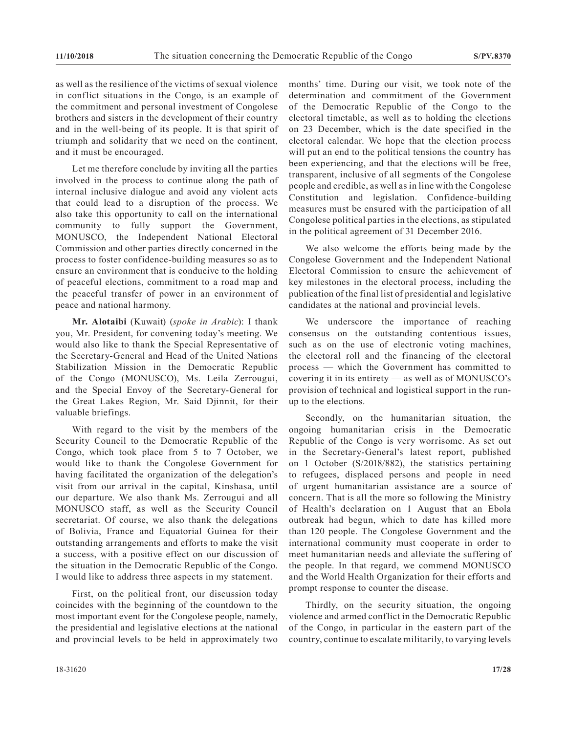as well as the resilience of the victims of sexual violence in conflict situations in the Congo, is an example of the commitment and personal investment of Congolese brothers and sisters in the development of their country and in the well-being of its people. It is that spirit of triumph and solidarity that we need on the continent, and it must be encouraged.

Let me therefore conclude by inviting all the parties involved in the process to continue along the path of internal inclusive dialogue and avoid any violent acts that could lead to a disruption of the process. We also take this opportunity to call on the international community to fully support the Government, MONUSCO, the Independent National Electoral Commission and other parties directly concerned in the process to foster confidence-building measures so as to ensure an environment that is conducive to the holding of peaceful elections, commitment to a road map and the peaceful transfer of power in an environment of peace and national harmony.

**Mr. Alotaibi** (Kuwait) (*spoke in Arabic*): I thank you, Mr. President, for convening today's meeting. We would also like to thank the Special Representative of the Secretary-General and Head of the United Nations Stabilization Mission in the Democratic Republic of the Congo (MONUSCO), Ms. Leila Zerrougui, and the Special Envoy of the Secretary-General for the Great Lakes Region, Mr. Said Djinnit, for their valuable briefings.

With regard to the visit by the members of the Security Council to the Democratic Republic of the Congo, which took place from 5 to 7 October, we would like to thank the Congolese Government for having facilitated the organization of the delegation's visit from our arrival in the capital, Kinshasa, until our departure. We also thank Ms. Zerrougui and all MONUSCO staff, as well as the Security Council secretariat. Of course, we also thank the delegations of Bolivia, France and Equatorial Guinea for their outstanding arrangements and efforts to make the visit a success, with a positive effect on our discussion of the situation in the Democratic Republic of the Congo. I would like to address three aspects in my statement.

First, on the political front, our discussion today coincides with the beginning of the countdown to the most important event for the Congolese people, namely, the presidential and legislative elections at the national and provincial levels to be held in approximately two months' time. During our visit, we took note of the determination and commitment of the Government of the Democratic Republic of the Congo to the electoral timetable, as well as to holding the elections on 23 December, which is the date specified in the electoral calendar. We hope that the election process will put an end to the political tensions the country has been experiencing, and that the elections will be free, transparent, inclusive of all segments of the Congolese people and credible, as well as in line with the Congolese Constitution and legislation. Confidence-building measures must be ensured with the participation of all Congolese political parties in the elections, as stipulated in the political agreement of 31 December 2016.

We also welcome the efforts being made by the Congolese Government and the Independent National Electoral Commission to ensure the achievement of key milestones in the electoral process, including the publication of the final list of presidential and legislative candidates at the national and provincial levels.

We underscore the importance of reaching consensus on the outstanding contentious issues, such as on the use of electronic voting machines, the electoral roll and the financing of the electoral process — which the Government has committed to covering it in its entirety — as well as of MONUSCO's provision of technical and logistical support in the runup to the elections.

Secondly, on the humanitarian situation, the ongoing humanitarian crisis in the Democratic Republic of the Congo is very worrisome. As set out in the Secretary-General's latest report, published on 1 October (S/2018/882), the statistics pertaining to refugees, displaced persons and people in need of urgent humanitarian assistance are a source of concern. That is all the more so following the Ministry of Health's declaration on 1 August that an Ebola outbreak had begun, which to date has killed more than 120 people. The Congolese Government and the international community must cooperate in order to meet humanitarian needs and alleviate the suffering of the people. In that regard, we commend MONUSCO and the World Health Organization for their efforts and prompt response to counter the disease.

Thirdly, on the security situation, the ongoing violence and armed conflict in the Democratic Republic of the Congo, in particular in the eastern part of the country, continue to escalate militarily, to varying levels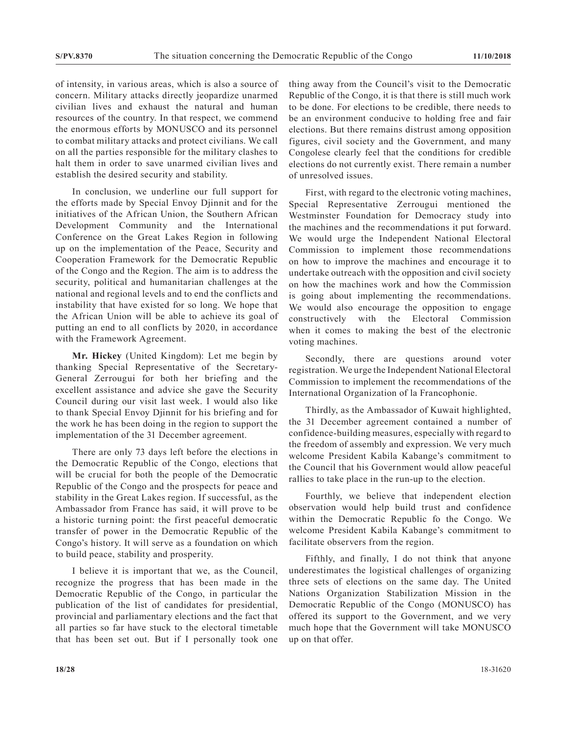of intensity, in various areas, which is also a source of concern. Military attacks directly jeopardize unarmed civilian lives and exhaust the natural and human resources of the country. In that respect, we commend the enormous efforts by MONUSCO and its personnel to combat military attacks and protect civilians. We call on all the parties responsible for the military clashes to halt them in order to save unarmed civilian lives and establish the desired security and stability.

In conclusion, we underline our full support for the efforts made by Special Envoy Djinnit and for the initiatives of the African Union, the Southern African Development Community and the International Conference on the Great Lakes Region in following up on the implementation of the Peace, Security and Cooperation Framework for the Democratic Republic of the Congo and the Region. The aim is to address the security, political and humanitarian challenges at the national and regional levels and to end the conflicts and instability that have existed for so long. We hope that the African Union will be able to achieve its goal of putting an end to all conflicts by 2020, in accordance with the Framework Agreement.

**Mr. Hickey** (United Kingdom): Let me begin by thanking Special Representative of the Secretary-General Zerrougui for both her briefing and the excellent assistance and advice she gave the Security Council during our visit last week. I would also like to thank Special Envoy Djinnit for his briefing and for the work he has been doing in the region to support the implementation of the 31 December agreement.

There are only 73 days left before the elections in the Democratic Republic of the Congo, elections that will be crucial for both the people of the Democratic Republic of the Congo and the prospects for peace and stability in the Great Lakes region. If successful, as the Ambassador from France has said, it will prove to be a historic turning point: the first peaceful democratic transfer of power in the Democratic Republic of the Congo's history. It will serve as a foundation on which to build peace, stability and prosperity.

I believe it is important that we, as the Council, recognize the progress that has been made in the Democratic Republic of the Congo, in particular the publication of the list of candidates for presidential, provincial and parliamentary elections and the fact that all parties so far have stuck to the electoral timetable that has been set out. But if I personally took one thing away from the Council's visit to the Democratic Republic of the Congo, it is that there is still much work to be done. For elections to be credible, there needs to be an environment conducive to holding free and fair elections. But there remains distrust among opposition figures, civil society and the Government, and many Congolese clearly feel that the conditions for credible elections do not currently exist. There remain a number of unresolved issues.

First, with regard to the electronic voting machines, Special Representative Zerrougui mentioned the Westminster Foundation for Democracy study into the machines and the recommendations it put forward. We would urge the Independent National Electoral Commission to implement those recommendations on how to improve the machines and encourage it to undertake outreach with the opposition and civil society on how the machines work and how the Commission is going about implementing the recommendations. We would also encourage the opposition to engage constructively with the Electoral Commission when it comes to making the best of the electronic voting machines.

Secondly, there are questions around voter registration. We urge the Independent National Electoral Commission to implement the recommendations of the International Organization of la Francophonie.

Thirdly, as the Ambassador of Kuwait highlighted, the 31 December agreement contained a number of confidence-building measures, especially with regard to the freedom of assembly and expression. We very much welcome President Kabila Kabange's commitment to the Council that his Government would allow peaceful rallies to take place in the run-up to the election.

Fourthly, we believe that independent election observation would help build trust and confidence within the Democratic Republic fo the Congo. We welcome President Kabila Kabange's commitment to facilitate observers from the region.

Fifthly, and finally, I do not think that anyone underestimates the logistical challenges of organizing three sets of elections on the same day. The United Nations Organization Stabilization Mission in the Democratic Republic of the Congo (MONUSCO) has offered its support to the Government, and we very much hope that the Government will take MONUSCO up on that offer.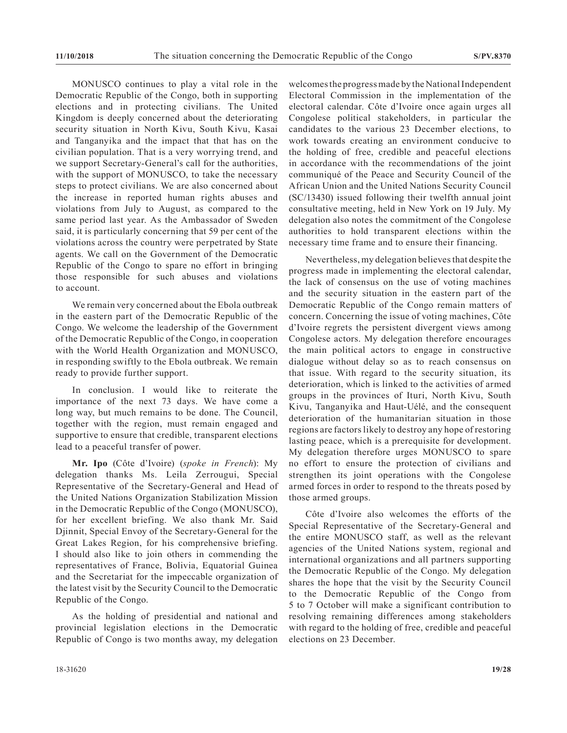MONUSCO continues to play a vital role in the Democratic Republic of the Congo, both in supporting elections and in protecting civilians. The United Kingdom is deeply concerned about the deteriorating security situation in North Kivu, South Kivu, Kasai and Tanganyika and the impact that that has on the civilian population. That is a very worrying trend, and we support Secretary-General's call for the authorities, with the support of MONUSCO, to take the necessary steps to protect civilians. We are also concerned about the increase in reported human rights abuses and violations from July to August, as compared to the same period last year. As the Ambassador of Sweden said, it is particularly concerning that 59 per cent of the violations across the country were perpetrated by State agents. We call on the Government of the Democratic Republic of the Congo to spare no effort in bringing those responsible for such abuses and violations to account.

We remain very concerned about the Ebola outbreak in the eastern part of the Democratic Republic of the Congo. We welcome the leadership of the Government of the Democratic Republic of the Congo, in cooperation with the World Health Organization and MONUSCO, in responding swiftly to the Ebola outbreak. We remain ready to provide further support.

In conclusion. I would like to reiterate the importance of the next 73 days. We have come a long way, but much remains to be done. The Council, together with the region, must remain engaged and supportive to ensure that credible, transparent elections lead to a peaceful transfer of power.

**Mr. Ipo** (Côte d'Ivoire) (*spoke in French*): My delegation thanks Ms. Leila Zerrougui, Special Representative of the Secretary-General and Head of the United Nations Organization Stabilization Mission in the Democratic Republic of the Congo (MONUSCO), for her excellent briefing. We also thank Mr. Said Djinnit, Special Envoy of the Secretary-General for the Great Lakes Region, for his comprehensive briefing. I should also like to join others in commending the representatives of France, Bolivia, Equatorial Guinea and the Secretariat for the impeccable organization of the latest visit by the Security Council to the Democratic Republic of the Congo.

As the holding of presidential and national and provincial legislation elections in the Democratic Republic of Congo is two months away, my delegation welcomes the progress made by the National Independent Electoral Commission in the implementation of the electoral calendar. Côte d'Ivoire once again urges all Congolese political stakeholders, in particular the candidates to the various 23 December elections, to work towards creating an environment conducive to the holding of free, credible and peaceful elections in accordance with the recommendations of the joint communiqué of the Peace and Security Council of the African Union and the United Nations Security Council (SC/13430) issued following their twelfth annual joint consultative meeting, held in New York on 19 July. My delegation also notes the commitment of the Congolese authorities to hold transparent elections within the necessary time frame and to ensure their financing.

Nevertheless, my delegation believes that despite the progress made in implementing the electoral calendar, the lack of consensus on the use of voting machines and the security situation in the eastern part of the Democratic Republic of the Congo remain matters of concern. Concerning the issue of voting machines, Côte d'Ivoire regrets the persistent divergent views among Congolese actors. My delegation therefore encourages the main political actors to engage in constructive dialogue without delay so as to reach consensus on that issue. With regard to the security situation, its deterioration, which is linked to the activities of armed groups in the provinces of Ituri, North Kivu, South Kivu, Tanganyika and Haut-Uélé, and the consequent deterioration of the humanitarian situation in those regions are factors likely to destroy any hope of restoring lasting peace, which is a prerequisite for development. My delegation therefore urges MONUSCO to spare no effort to ensure the protection of civilians and strengthen its joint operations with the Congolese armed forces in order to respond to the threats posed by those armed groups.

Côte d'Ivoire also welcomes the efforts of the Special Representative of the Secretary-General and the entire MONUSCO staff, as well as the relevant agencies of the United Nations system, regional and international organizations and all partners supporting the Democratic Republic of the Congo. My delegation shares the hope that the visit by the Security Council to the Democratic Republic of the Congo from 5 to 7 October will make a significant contribution to resolving remaining differences among stakeholders with regard to the holding of free, credible and peaceful elections on 23 December.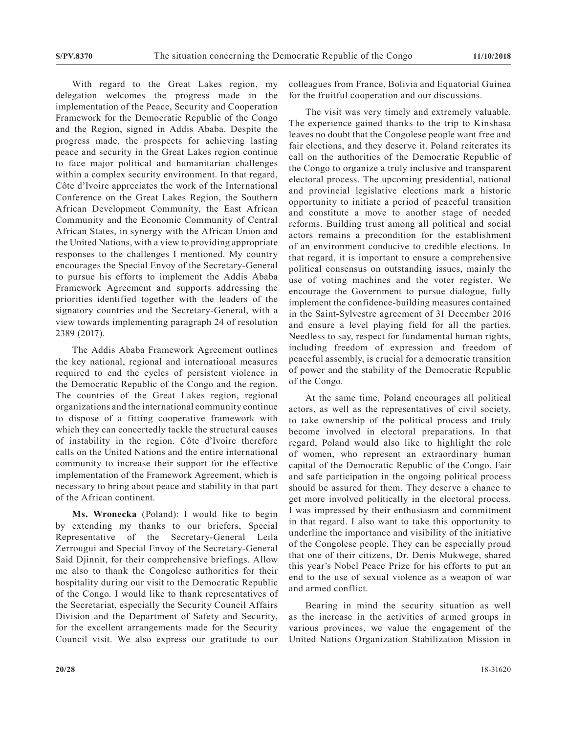With regard to the Great Lakes region, my delegation welcomes the progress made in the implementation of the Peace, Security and Cooperation Framework for the Democratic Republic of the Congo and the Region, signed in Addis Ababa. Despite the progress made, the prospects for achieving lasting peace and security in the Great Lakes region continue to face major political and humanitarian challenges within a complex security environment. In that regard, Côte d'Ivoire appreciates the work of the International Conference on the Great Lakes Region, the Southern African Development Community, the East African Community and the Economic Community of Central African States, in synergy with the African Union and the United Nations, with a view to providing appropriate responses to the challenges I mentioned. My country encourages the Special Envoy of the Secretary-General to pursue his efforts to implement the Addis Ababa Framework Agreement and supports addressing the priorities identified together with the leaders of the signatory countries and the Secretary-General, with a view towards implementing paragraph 24 of resolution 2389 (2017).

The Addis Ababa Framework Agreement outlines the key national, regional and international measures required to end the cycles of persistent violence in the Democratic Republic of the Congo and the region. The countries of the Great Lakes region, regional organizations and the international community continue to dispose of a fitting cooperative framework with which they can concertedly tackle the structural causes of instability in the region. Côte d'Ivoire therefore calls on the United Nations and the entire international community to increase their support for the effective implementation of the Framework Agreement, which is necessary to bring about peace and stability in that part of the African continent.

**Ms. Wronecka** (Poland): I would like to begin by extending my thanks to our briefers, Special Representative of the Secretary-General Leila Zerrougui and Special Envoy of the Secretary-General Said Djinnit, for their comprehensive briefings. Allow me also to thank the Congolese authorities for their hospitality during our visit to the Democratic Republic of the Congo. I would like to thank representatives of the Secretariat, especially the Security Council Affairs Division and the Department of Safety and Security, for the excellent arrangements made for the Security Council visit. We also express our gratitude to our

colleagues from France, Bolivia and Equatorial Guinea for the fruitful cooperation and our discussions.

The visit was very timely and extremely valuable. The experience gained thanks to the trip to Kinshasa leaves no doubt that the Congolese people want free and fair elections, and they deserve it. Poland reiterates its call on the authorities of the Democratic Republic of the Congo to organize a truly inclusive and transparent electoral process. The upcoming presidential, national and provincial legislative elections mark a historic opportunity to initiate a period of peaceful transition and constitute a move to another stage of needed reforms. Building trust among all political and social actors remains a precondition for the establishment of an environment conducive to credible elections. In that regard, it is important to ensure a comprehensive political consensus on outstanding issues, mainly the use of voting machines and the voter register. We encourage the Government to pursue dialogue, fully implement the confidence-building measures contained in the Saint-Sylvestre agreement of 31 December 2016 and ensure a level playing field for all the parties. Needless to say, respect for fundamental human rights, including freedom of expression and freedom of peaceful assembly, is crucial for a democratic transition of power and the stability of the Democratic Republic of the Congo.

At the same time, Poland encourages all political actors, as well as the representatives of civil society, to take ownership of the political process and truly become involved in electoral preparations. In that regard, Poland would also like to highlight the role of women, who represent an extraordinary human capital of the Democratic Republic of the Congo. Fair and safe participation in the ongoing political process should be assured for them. They deserve a chance to get more involved politically in the electoral process. I was impressed by their enthusiasm and commitment in that regard. I also want to take this opportunity to underline the importance and visibility of the initiative of the Congolese people. They can be especially proud that one of their citizens, Dr. Denis Mukwege, shared this year's Nobel Peace Prize for his efforts to put an end to the use of sexual violence as a weapon of war and armed conflict.

Bearing in mind the security situation as well as the increase in the activities of armed groups in various provinces, we value the engagement of the United Nations Organization Stabilization Mission in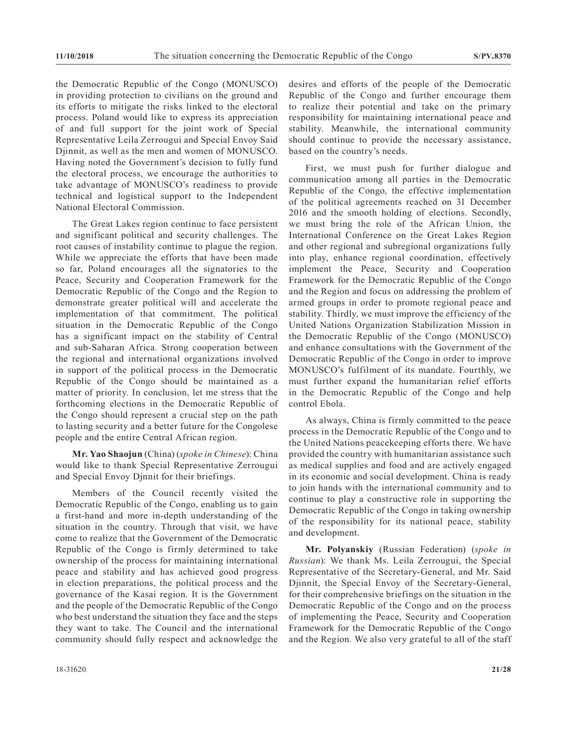the Democratic Republic of the Congo (MONUSCO) in providing protection to civilians on the ground and its efforts to mitigate the risks linked to the electoral process. Poland would like to express its appreciation of and full support for the joint work of Special Representative Leila Zerrougui and Special Envoy Said Djinnit, as well as the men and women of MONUSCO. Having noted the Government's decision to fully fund the electoral process, we encourage the authorities to take advantage of MONUSCO's readiness to provide technical and logistical support to the Independent National Electoral Commission.

The Great Lakes region continue to face persistent and significant political and security challenges. The root causes of instability continue to plague the region. While we appreciate the efforts that have been made so far, Poland encourages all the signatories to the Peace, Security and Cooperation Framework for the Democratic Republic of the Congo and the Region to demonstrate greater political will and accelerate the implementation of that commitment. The political situation in the Democratic Republic of the Congo has a significant impact on the stability of Central and sub-Saharan Africa. Strong cooperation between the regional and international organizations involved in support of the political process in the Democratic Republic of the Congo should be maintained as a matter of priority. In conclusion, let me stress that the forthcoming elections in the Democratic Republic of the Congo should represent a crucial step on the path to lasting security and a better future for the Congolese people and the entire Central African region.

**Mr. Yao Shaojun** (China) (*spoke in Chinese*): China would like to thank Special Representative Zerrougui and Special Envoy Djnnit for their briefings.

Members of the Council recently visited the Democratic Republic of the Congo, enabling us to gain a first-hand and more in-depth understanding of the situation in the country. Through that visit, we have come to realize that the Government of the Democratic Republic of the Congo is firmly determined to take ownership of the process for maintaining international peace and stability and has achieved good progress in election preparations, the political process and the governance of the Kasai region. It is the Government and the people of the Democratic Republic of the Congo who best understand the situation they face and the steps they want to take. The Council and the international community should fully respect and acknowledge the

desires and efforts of the people of the Democratic Republic of the Congo and further encourage them to realize their potential and take on the primary responsibility for maintaining international peace and stability. Meanwhile, the international community should continue to provide the necessary assistance, based on the country's needs.

First, we must push for further dialogue and communication among all parties in the Democratic Republic of the Congo, the effective implementation of the political agreements reached on 31 December 2016 and the smooth holding of elections. Secondly, we must bring the role of the African Union, the International Conference on the Great Lakes Region and other regional and subregional organizations fully into play, enhance regional coordination, effectively implement the Peace, Security and Cooperation Framework for the Democratic Republic of the Congo and the Region and focus on addressing the problem of armed groups in order to promote regional peace and stability. Thirdly, we must improve the efficiency of the United Nations Organization Stabilization Mission in the Democratic Republic of the Congo (MONUSCO) and enhance consultations with the Government of the Democratic Republic of the Congo in order to improve MONUSCO's fulfilment of its mandate. Fourthly, we must further expand the humanitarian relief efforts in the Democratic Republic of the Congo and help control Ebola.

As always, China is firmly committed to the peace process in the Democratic Republic of the Congo and to the United Nations peacekeeping efforts there. We have provided the country with humanitarian assistance such as medical supplies and food and are actively engaged in its economic and social development. China is ready to join hands with the international community and to continue to play a constructive role in supporting the Democratic Republic of the Congo in taking ownership of the responsibility for its national peace, stability and development.

**Mr. Polyanskiy** (Russian Federation) (*spoke in Russian*): We thank Ms. Leila Zerrougui, the Special Representative of the Secretary-General, and Mr. Said Djinnit, the Special Envoy of the Secretary-General, for their comprehensive briefings on the situation in the Democratic Republic of the Congo and on the process of implementing the Peace, Security and Cooperation Framework for the Democratic Republic of the Congo and the Region. We also very grateful to all of the staff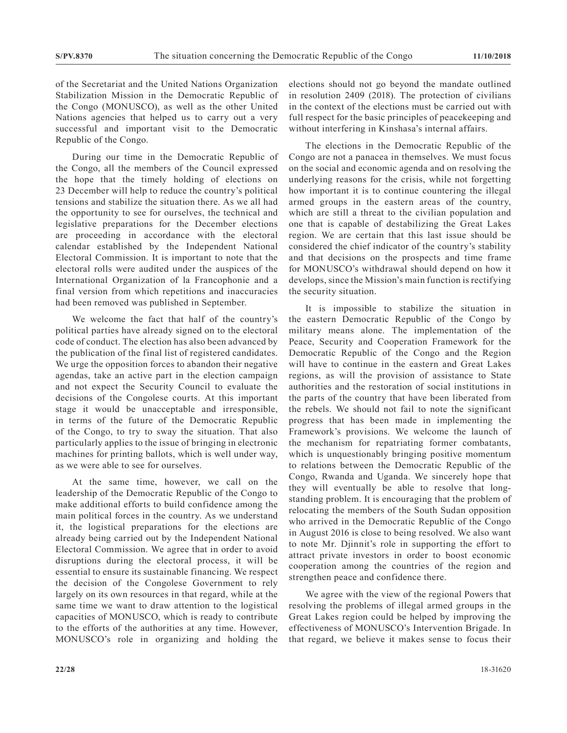of the Secretariat and the United Nations Organization Stabilization Mission in the Democratic Republic of the Congo (MONUSCO), as well as the other United Nations agencies that helped us to carry out a very successful and important visit to the Democratic Republic of the Congo.

During our time in the Democratic Republic of the Congo, all the members of the Council expressed the hope that the timely holding of elections on 23 December will help to reduce the country's political tensions and stabilize the situation there. As we all had the opportunity to see for ourselves, the technical and legislative preparations for the December elections are proceeding in accordance with the electoral calendar established by the Independent National Electoral Commission. It is important to note that the electoral rolls were audited under the auspices of the International Organization of la Francophonie and a final version from which repetitions and inaccuracies had been removed was published in September.

We welcome the fact that half of the country's political parties have already signed on to the electoral code of conduct. The election has also been advanced by the publication of the final list of registered candidates. We urge the opposition forces to abandon their negative agendas, take an active part in the election campaign and not expect the Security Council to evaluate the decisions of the Congolese courts. At this important stage it would be unacceptable and irresponsible, in terms of the future of the Democratic Republic of the Congo, to try to sway the situation. That also particularly applies to the issue of bringing in electronic machines for printing ballots, which is well under way, as we were able to see for ourselves.

At the same time, however, we call on the leadership of the Democratic Republic of the Congo to make additional efforts to build confidence among the main political forces in the country. As we understand it, the logistical preparations for the elections are already being carried out by the Independent National Electoral Commission. We agree that in order to avoid disruptions during the electoral process, it will be essential to ensure its sustainable financing. We respect the decision of the Congolese Government to rely largely on its own resources in that regard, while at the same time we want to draw attention to the logistical capacities of MONUSCO, which is ready to contribute to the efforts of the authorities at any time. However, MONUSCO's role in organizing and holding the

elections should not go beyond the mandate outlined in resolution 2409 (2018). The protection of civilians in the context of the elections must be carried out with full respect for the basic principles of peacekeeping and without interfering in Kinshasa's internal affairs.

The elections in the Democratic Republic of the Congo are not a panacea in themselves. We must focus on the social and economic agenda and on resolving the underlying reasons for the crisis, while not forgetting how important it is to continue countering the illegal armed groups in the eastern areas of the country, which are still a threat to the civilian population and one that is capable of destabilizing the Great Lakes region. We are certain that this last issue should be considered the chief indicator of the country's stability and that decisions on the prospects and time frame for MONUSCO's withdrawal should depend on how it develops, since the Mission's main function is rectifying the security situation.

It is impossible to stabilize the situation in the eastern Democratic Republic of the Congo by military means alone. The implementation of the Peace, Security and Cooperation Framework for the Democratic Republic of the Congo and the Region will have to continue in the eastern and Great Lakes regions, as will the provision of assistance to State authorities and the restoration of social institutions in the parts of the country that have been liberated from the rebels. We should not fail to note the significant progress that has been made in implementing the Framework's provisions. We welcome the launch of the mechanism for repatriating former combatants, which is unquestionably bringing positive momentum to relations between the Democratic Republic of the Congo, Rwanda and Uganda. We sincerely hope that they will eventually be able to resolve that longstanding problem. It is encouraging that the problem of relocating the members of the South Sudan opposition who arrived in the Democratic Republic of the Congo in August 2016 is close to being resolved. We also want to note Mr. Djinnit's role in supporting the effort to attract private investors in order to boost economic cooperation among the countries of the region and strengthen peace and confidence there.

We agree with the view of the regional Powers that resolving the problems of illegal armed groups in the Great Lakes region could be helped by improving the effectiveness of MONUSCO's Intervention Brigade. In that regard, we believe it makes sense to focus their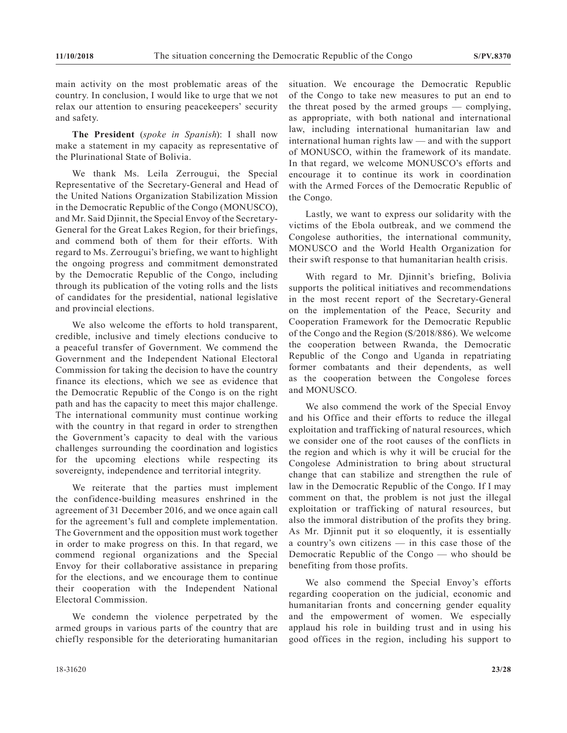main activity on the most problematic areas of the country. In conclusion, I would like to urge that we not relax our attention to ensuring peacekeepers' security and safety.

**The President** (*spoke in Spanish*): I shall now make a statement in my capacity as representative of the Plurinational State of Bolivia.

We thank Ms. Leila Zerrougui, the Special Representative of the Secretary-General and Head of the United Nations Organization Stabilization Mission in the Democratic Republic of the Congo (MONUSCO), and Mr. Said Djinnit, the Special Envoy of the Secretary-General for the Great Lakes Region, for their briefings, and commend both of them for their efforts. With regard to Ms. Zerrougui's briefing, we want to highlight the ongoing progress and commitment demonstrated by the Democratic Republic of the Congo, including through its publication of the voting rolls and the lists of candidates for the presidential, national legislative and provincial elections.

We also welcome the efforts to hold transparent, credible, inclusive and timely elections conducive to a peaceful transfer of Government. We commend the Government and the Independent National Electoral Commission for taking the decision to have the country finance its elections, which we see as evidence that the Democratic Republic of the Congo is on the right path and has the capacity to meet this major challenge. The international community must continue working with the country in that regard in order to strengthen the Government's capacity to deal with the various challenges surrounding the coordination and logistics for the upcoming elections while respecting its sovereignty, independence and territorial integrity.

We reiterate that the parties must implement the confidence-building measures enshrined in the agreement of 31 December 2016, and we once again call for the agreement's full and complete implementation. The Government and the opposition must work together in order to make progress on this. In that regard, we commend regional organizations and the Special Envoy for their collaborative assistance in preparing for the elections, and we encourage them to continue their cooperation with the Independent National Electoral Commission.

We condemn the violence perpetrated by the armed groups in various parts of the country that are chiefly responsible for the deteriorating humanitarian situation. We encourage the Democratic Republic of the Congo to take new measures to put an end to the threat posed by the armed groups — complying, as appropriate, with both national and international law, including international humanitarian law and international human rights law — and with the support of MONUSCO, within the framework of its mandate. In that regard, we welcome MONUSCO's efforts and encourage it to continue its work in coordination with the Armed Forces of the Democratic Republic of the Congo.

Lastly, we want to express our solidarity with the victims of the Ebola outbreak, and we commend the Congolese authorities, the international community, MONUSCO and the World Health Organization for their swift response to that humanitarian health crisis.

With regard to Mr. Djinnit's briefing, Bolivia supports the political initiatives and recommendations in the most recent report of the Secretary-General on the implementation of the Peace, Security and Cooperation Framework for the Democratic Republic of the Congo and the Region (S/2018/886). We welcome the cooperation between Rwanda, the Democratic Republic of the Congo and Uganda in repatriating former combatants and their dependents, as well as the cooperation between the Congolese forces and MONUSCO.

We also commend the work of the Special Envoy and his Office and their efforts to reduce the illegal exploitation and trafficking of natural resources, which we consider one of the root causes of the conflicts in the region and which is why it will be crucial for the Congolese Administration to bring about structural change that can stabilize and strengthen the rule of law in the Democratic Republic of the Congo. If I may comment on that, the problem is not just the illegal exploitation or trafficking of natural resources, but also the immoral distribution of the profits they bring. As Mr. Djinnit put it so eloquently, it is essentially a country's own citizens — in this case those of the Democratic Republic of the Congo — who should be benefiting from those profits.

We also commend the Special Envoy's efforts regarding cooperation on the judicial, economic and humanitarian fronts and concerning gender equality and the empowerment of women. We especially applaud his role in building trust and in using his good offices in the region, including his support to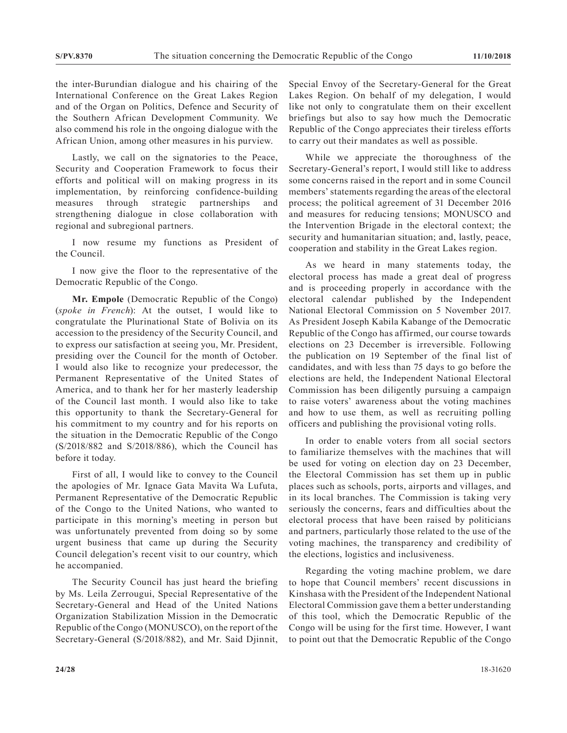the inter-Burundian dialogue and his chairing of the International Conference on the Great Lakes Region and of the Organ on Politics, Defence and Security of the Southern African Development Community. We also commend his role in the ongoing dialogue with the African Union, among other measures in his purview.

Lastly, we call on the signatories to the Peace, Security and Cooperation Framework to focus their efforts and political will on making progress in its implementation, by reinforcing confidence-building measures through strategic partnerships and strengthening dialogue in close collaboration with regional and subregional partners.

I now resume my functions as President of the Council.

I now give the floor to the representative of the Democratic Republic of the Congo.

**Mr. Empole** (Democratic Republic of the Congo) (*spoke in French*): At the outset, I would like to congratulate the Plurinational State of Bolivia on its accession to the presidency of the Security Council, and to express our satisfaction at seeing you, Mr. President, presiding over the Council for the month of October. I would also like to recognize your predecessor, the Permanent Representative of the United States of America, and to thank her for her masterly leadership of the Council last month. I would also like to take this opportunity to thank the Secretary-General for his commitment to my country and for his reports on the situation in the Democratic Republic of the Congo (S/2018/882 and S/2018/886), which the Council has before it today.

First of all, I would like to convey to the Council the apologies of Mr. Ignace Gata Mavita Wa Lufuta, Permanent Representative of the Democratic Republic of the Congo to the United Nations, who wanted to participate in this morning's meeting in person but was unfortunately prevented from doing so by some urgent business that came up during the Security Council delegation's recent visit to our country, which he accompanied.

The Security Council has just heard the briefing by Ms. Leila Zerrougui, Special Representative of the Secretary-General and Head of the United Nations Organization Stabilization Mission in the Democratic Republic of the Congo (MONUSCO), on the report of the Secretary-General (S/2018/882), and Mr. Said Djinnit, Special Envoy of the Secretary-General for the Great Lakes Region. On behalf of my delegation, I would like not only to congratulate them on their excellent briefings but also to say how much the Democratic Republic of the Congo appreciates their tireless efforts to carry out their mandates as well as possible.

While we appreciate the thoroughness of the Secretary-General's report, I would still like to address some concerns raised in the report and in some Council members' statements regarding the areas of the electoral process; the political agreement of 31 December 2016 and measures for reducing tensions; MONUSCO and the Intervention Brigade in the electoral context; the security and humanitarian situation; and, lastly, peace, cooperation and stability in the Great Lakes region.

As we heard in many statements today, the electoral process has made a great deal of progress and is proceeding properly in accordance with the electoral calendar published by the Independent National Electoral Commission on 5 November 2017. As President Joseph Kabila Kabange of the Democratic Republic of the Congo has affirmed, our course towards elections on 23 December is irreversible. Following the publication on 19 September of the final list of candidates, and with less than 75 days to go before the elections are held, the Independent National Electoral Commission has been diligently pursuing a campaign to raise voters' awareness about the voting machines and how to use them, as well as recruiting polling officers and publishing the provisional voting rolls.

In order to enable voters from all social sectors to familiarize themselves with the machines that will be used for voting on election day on 23 December, the Electoral Commission has set them up in public places such as schools, ports, airports and villages, and in its local branches. The Commission is taking very seriously the concerns, fears and difficulties about the electoral process that have been raised by politicians and partners, particularly those related to the use of the voting machines, the transparency and credibility of the elections, logistics and inclusiveness.

Regarding the voting machine problem, we dare to hope that Council members' recent discussions in Kinshasa with the President of the Independent National Electoral Commission gave them a better understanding of this tool, which the Democratic Republic of the Congo will be using for the first time. However, I want to point out that the Democratic Republic of the Congo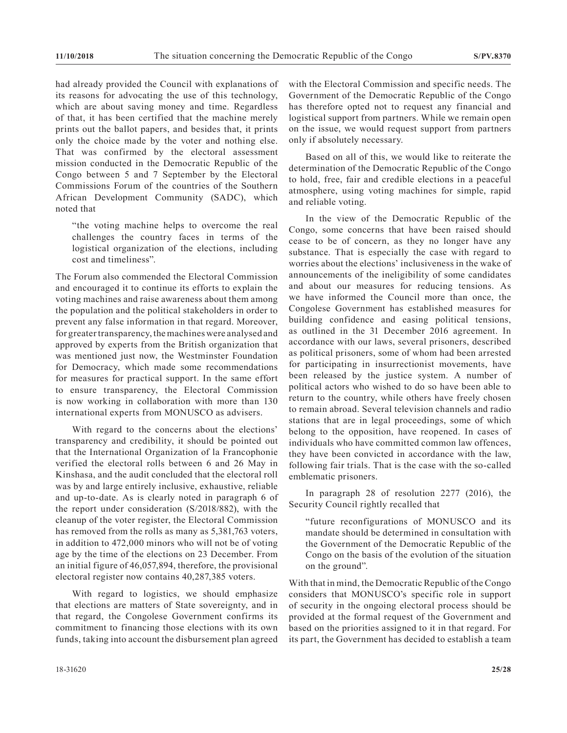had already provided the Council with explanations of its reasons for advocating the use of this technology, which are about saving money and time. Regardless of that, it has been certified that the machine merely prints out the ballot papers, and besides that, it prints only the choice made by the voter and nothing else. That was confirmed by the electoral assessment mission conducted in the Democratic Republic of the Congo between 5 and 7 September by the Electoral Commissions Forum of the countries of the Southern African Development Community (SADC), which noted that

"the voting machine helps to overcome the real challenges the country faces in terms of the logistical organization of the elections, including cost and timeliness".

The Forum also commended the Electoral Commission and encouraged it to continue its efforts to explain the voting machines and raise awareness about them among the population and the political stakeholders in order to prevent any false information in that regard. Moreover, for greater transparency, the machines were analysed and approved by experts from the British organization that was mentioned just now, the Westminster Foundation for Democracy, which made some recommendations for measures for practical support. In the same effort to ensure transparency, the Electoral Commission is now working in collaboration with more than 130 international experts from MONUSCO as advisers.

With regard to the concerns about the elections' transparency and credibility, it should be pointed out that the International Organization of la Francophonie verified the electoral rolls between 6 and 26 May in Kinshasa, and the audit concluded that the electoral roll was by and large entirely inclusive, exhaustive, reliable and up-to-date. As is clearly noted in paragraph 6 of the report under consideration (S/2018/882), with the cleanup of the voter register, the Electoral Commission has removed from the rolls as many as 5,381,763 voters, in addition to 472,000 minors who will not be of voting age by the time of the elections on 23 December. From an initial figure of 46,057,894, therefore, the provisional electoral register now contains 40,287,385 voters.

With regard to logistics, we should emphasize that elections are matters of State sovereignty, and in that regard, the Congolese Government confirms its commitment to financing those elections with its own funds, taking into account the disbursement plan agreed

with the Electoral Commission and specific needs. The Government of the Democratic Republic of the Congo has therefore opted not to request any financial and logistical support from partners. While we remain open on the issue, we would request support from partners only if absolutely necessary.

Based on all of this, we would like to reiterate the determination of the Democratic Republic of the Congo to hold, free, fair and credible elections in a peaceful atmosphere, using voting machines for simple, rapid and reliable voting.

In the view of the Democratic Republic of the Congo, some concerns that have been raised should cease to be of concern, as they no longer have any substance. That is especially the case with regard to worries about the elections' inclusiveness in the wake of announcements of the ineligibility of some candidates and about our measures for reducing tensions. As we have informed the Council more than once, the Congolese Government has established measures for building confidence and easing political tensions, as outlined in the 31 December 2016 agreement. In accordance with our laws, several prisoners, described as political prisoners, some of whom had been arrested for participating in insurrectionist movements, have been released by the justice system. A number of political actors who wished to do so have been able to return to the country, while others have freely chosen to remain abroad. Several television channels and radio stations that are in legal proceedings, some of which belong to the opposition, have reopened. In cases of individuals who have committed common law offences, they have been convicted in accordance with the law, following fair trials. That is the case with the so-called emblematic prisoners.

In paragraph 28 of resolution 2277 (2016), the Security Council rightly recalled that

"future reconfigurations of MONUSCO and its mandate should be determined in consultation with the Government of the Democratic Republic of the Congo on the basis of the evolution of the situation on the ground".

With that in mind, the Democratic Republic of the Congo considers that MONUSCO's specific role in support of security in the ongoing electoral process should be provided at the formal request of the Government and based on the priorities assigned to it in that regard. For its part, the Government has decided to establish a team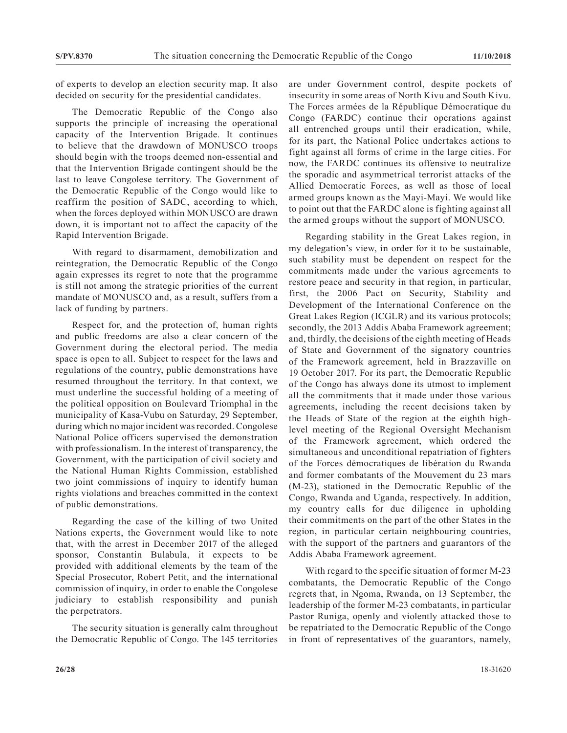of experts to develop an election security map. It also decided on security for the presidential candidates.

The Democratic Republic of the Congo also supports the principle of increasing the operational capacity of the Intervention Brigade. It continues to believe that the drawdown of MONUSCO troops should begin with the troops deemed non-essential and that the Intervention Brigade contingent should be the last to leave Congolese territory. The Government of the Democratic Republic of the Congo would like to reaffirm the position of SADC, according to which, when the forces deployed within MONUSCO are drawn down, it is important not to affect the capacity of the Rapid Intervention Brigade.

With regard to disarmament, demobilization and reintegration, the Democratic Republic of the Congo again expresses its regret to note that the programme is still not among the strategic priorities of the current mandate of MONUSCO and, as a result, suffers from a lack of funding by partners.

Respect for, and the protection of, human rights and public freedoms are also a clear concern of the Government during the electoral period. The media space is open to all. Subject to respect for the laws and regulations of the country, public demonstrations have resumed throughout the territory. In that context, we must underline the successful holding of a meeting of the political opposition on Boulevard Triomphal in the municipality of Kasa-Vubu on Saturday, 29 September, during which no major incident was recorded. Congolese National Police officers supervised the demonstration with professionalism. In the interest of transparency, the Government, with the participation of civil society and the National Human Rights Commission, established two joint commissions of inquiry to identify human rights violations and breaches committed in the context of public demonstrations.

Regarding the case of the killing of two United Nations experts, the Government would like to note that, with the arrest in December 2017 of the alleged sponsor, Constantin Bulabula, it expects to be provided with additional elements by the team of the Special Prosecutor, Robert Petit, and the international commission of inquiry, in order to enable the Congolese judiciary to establish responsibility and punish the perpetrators.

The security situation is generally calm throughout the Democratic Republic of Congo. The 145 territories are under Government control, despite pockets of insecurity in some areas of North Kivu and South Kivu. The Forces armées de la République Démocratique du Congo (FARDC) continue their operations against all entrenched groups until their eradication, while, for its part, the National Police undertakes actions to fight against all forms of crime in the large cities. For now, the FARDC continues its offensive to neutralize the sporadic and asymmetrical terrorist attacks of the Allied Democratic Forces, as well as those of local armed groups known as the Mayi-Mayi. We would like to point out that the FARDC alone is fighting against all the armed groups without the support of MONUSCO.

Regarding stability in the Great Lakes region, in my delegation's view, in order for it to be sustainable, such stability must be dependent on respect for the commitments made under the various agreements to restore peace and security in that region, in particular, first, the 2006 Pact on Security, Stability and Development of the International Conference on the Great Lakes Region (ICGLR) and its various protocols; secondly, the 2013 Addis Ababa Framework agreement; and, thirdly, the decisions of the eighth meeting of Heads of State and Government of the signatory countries of the Framework agreement, held in Brazzaville on 19 October 2017. For its part, the Democratic Republic of the Congo has always done its utmost to implement all the commitments that it made under those various agreements, including the recent decisions taken by the Heads of State of the region at the eighth highlevel meeting of the Regional Oversight Mechanism of the Framework agreement, which ordered the simultaneous and unconditional repatriation of fighters of the Forces démocratiques de libération du Rwanda and former combatants of the Mouvement du 23 mars (M-23), stationed in the Democratic Republic of the Congo, Rwanda and Uganda, respectively. In addition, my country calls for due diligence in upholding their commitments on the part of the other States in the region, in particular certain neighbouring countries, with the support of the partners and guarantors of the Addis Ababa Framework agreement.

With regard to the specific situation of former M-23 combatants, the Democratic Republic of the Congo regrets that, in Ngoma, Rwanda, on 13 September, the leadership of the former M-23 combatants, in particular Pastor Runiga, openly and violently attacked those to be repatriated to the Democratic Republic of the Congo in front of representatives of the guarantors, namely,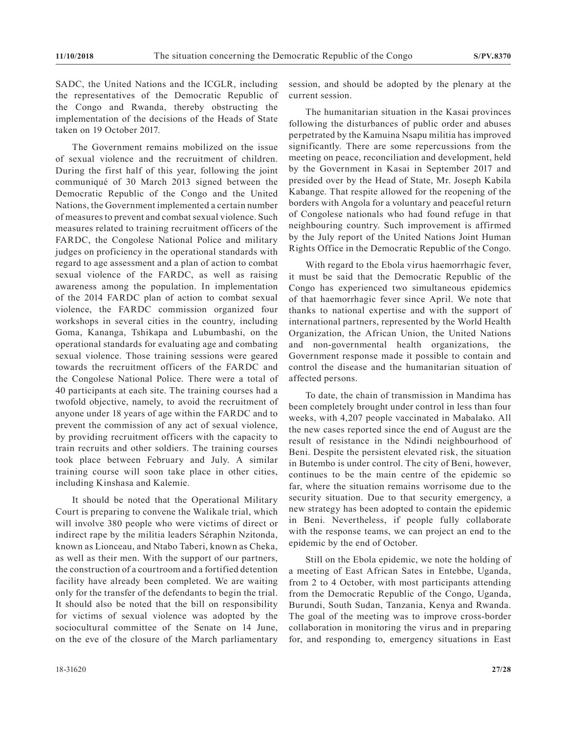SADC, the United Nations and the ICGLR, including the representatives of the Democratic Republic of the Congo and Rwanda, thereby obstructing the implementation of the decisions of the Heads of State taken on 19 October 2017.

The Government remains mobilized on the issue of sexual violence and the recruitment of children. During the first half of this year, following the joint communiqué of 30 March 2013 signed between the Democratic Republic of the Congo and the United Nations, the Government implemented a certain number of measures to prevent and combat sexual violence. Such measures related to training recruitment officers of the FARDC, the Congolese National Police and military judges on proficiency in the operational standards with regard to age assessment and a plan of action to combat sexual violence of the FARDC, as well as raising awareness among the population. In implementation of the 2014 FARDC plan of action to combat sexual violence, the FARDC commission organized four workshops in several cities in the country, including Goma, Kananga, Tshikapa and Lubumbashi, on the operational standards for evaluating age and combating sexual violence. Those training sessions were geared towards the recruitment officers of the FARDC and the Congolese National Police. There were a total of 40 participants at each site. The training courses had a twofold objective, namely, to avoid the recruitment of anyone under 18 years of age within the FARDC and to prevent the commission of any act of sexual violence, by providing recruitment officers with the capacity to train recruits and other soldiers. The training courses took place between February and July. A similar training course will soon take place in other cities, including Kinshasa and Kalemie.

It should be noted that the Operational Military Court is preparing to convene the Walikale trial, which will involve 380 people who were victims of direct or indirect rape by the militia leaders Séraphin Nzitonda, known as Lionceau, and Ntabo Taberi, known as Cheka, as well as their men. With the support of our partners, the construction of a courtroom and a fortified detention facility have already been completed. We are waiting only for the transfer of the defendants to begin the trial. It should also be noted that the bill on responsibility for victims of sexual violence was adopted by the sociocultural committee of the Senate on 14 June, on the eve of the closure of the March parliamentary session, and should be adopted by the plenary at the current session.

The humanitarian situation in the Kasai provinces following the disturbances of public order and abuses perpetrated by the Kamuina Nsapu militia has improved significantly. There are some repercussions from the meeting on peace, reconciliation and development, held by the Government in Kasai in September 2017 and presided over by the Head of State, Mr. Joseph Kabila Kabange. That respite allowed for the reopening of the borders with Angola for a voluntary and peaceful return of Congolese nationals who had found refuge in that neighbouring country. Such improvement is affirmed by the July report of the United Nations Joint Human Rights Office in the Democratic Republic of the Congo.

With regard to the Ebola virus haemorrhagic fever, it must be said that the Democratic Republic of the Congo has experienced two simultaneous epidemics of that haemorrhagic fever since April. We note that thanks to national expertise and with the support of international partners, represented by the World Health Organization, the African Union, the United Nations and non-governmental health organizations, the Government response made it possible to contain and control the disease and the humanitarian situation of affected persons.

To date, the chain of transmission in Mandima has been completely brought under control in less than four weeks, with 4,207 people vaccinated in Mabalako. All the new cases reported since the end of August are the result of resistance in the Ndindi neighbourhood of Beni. Despite the persistent elevated risk, the situation in Butembo is under control. The city of Beni, however, continues to be the main centre of the epidemic so far, where the situation remains worrisome due to the security situation. Due to that security emergency, a new strategy has been adopted to contain the epidemic in Beni. Nevertheless, if people fully collaborate with the response teams, we can project an end to the epidemic by the end of October.

Still on the Ebola epidemic, we note the holding of a meeting of East African Sates in Entebbe, Uganda, from 2 to 4 October, with most participants attending from the Democratic Republic of the Congo, Uganda, Burundi, South Sudan, Tanzania, Kenya and Rwanda. The goal of the meeting was to improve cross-border collaboration in monitoring the virus and in preparing for, and responding to, emergency situations in East